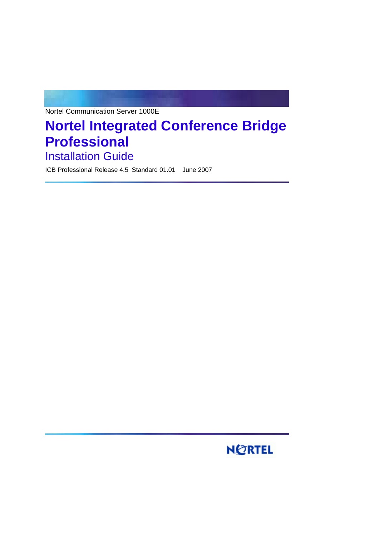Nortel Communication Server 1000E

# **Nortel Integrated Conference Bridge Professional Installation Guide**

ICB Professional Release 4.5 Standard 01.01 June 2007

# **NORTEL**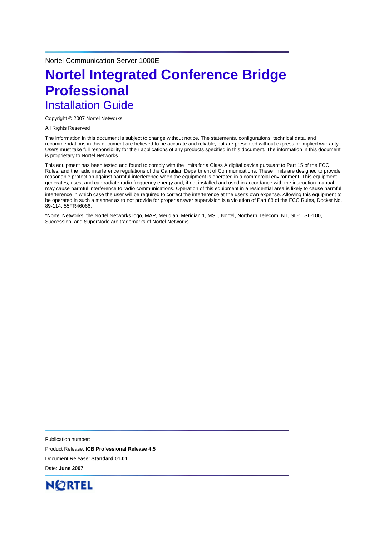Nortel Communication Server 1000E

# **Nortel Integrated Conference Bridge Professional**  Installation Guide

Copyright © 2007 Nortel Networks

All Rights Reserved

The information in this document is subject to change without notice. The statements, configurations, technical data, and recommendations in this document are believed to be accurate and reliable, but are presented without express or implied warranty. Users must take full responsibility for their applications of any products specified in this document. The information in this document is proprietary to Nortel Networks.

This equipment has been tested and found to comply with the limits for a Class A digital device pursuant to Part 15 of the FCC Rules, and the radio interference regulations of the Canadian Department of Communications. These limits are designed to provide reasonable protection against harmful interference when the equipment is operated in a commercial environment. This equipment generates, uses, and can radiate radio frequency energy and, if not installed and used in accordance with the instruction manual, may cause harmful interference to radio communications. Operation of this equipment in a residential area is likely to cause harmful interference in which case the user will be required to correct the interference at the user's own expense. Allowing this equipment to be operated in such a manner as to not provide for proper answer supervision is a violation of Part 68 of the FCC Rules, Docket No. 89-114, 55FR46066.

\*Nortel Networks, the Nortel Networks logo, MAP, Meridian, Meridian 1, MSL, Nortel, Northern Telecom, NT, SL-1, SL-100, Succession, and SuperNode are trademarks of Nortel Networks.

Publication number: Product Release: **ICB Professional Release 4.5** Document Release: **Standard 01.01** Date: **June 2007**

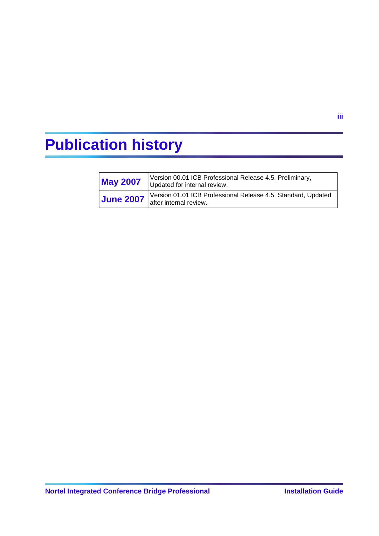# <span id="page-2-0"></span>**Publication history**

| <b>May 2007</b>  | Version 00.01 ICB Professional Release 4.5, Preliminary,<br>Updated for internal review.              |
|------------------|-------------------------------------------------------------------------------------------------------|
| <b>June 2007</b> | Version 01.01 ICB Professional Release 4.5, Standard, Updated<br>$\frac{1}{2}$ after internal review. |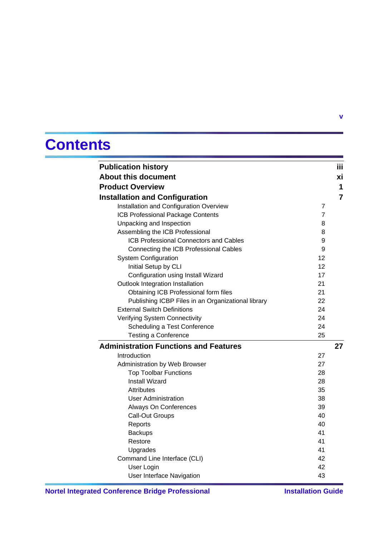# **Contents**

| <b>Publication history</b>                         |                | Ϊij            |
|----------------------------------------------------|----------------|----------------|
| <b>About this document</b>                         |                | xi             |
| <b>Product Overview</b>                            |                | 1              |
| <b>Installation and Configuration</b>              |                | $\overline{7}$ |
| Installation and Configuration Overview            | 7              |                |
| ICB Professional Package Contents                  | $\overline{7}$ |                |
| Unpacking and Inspection                           | 8              |                |
| Assembling the ICB Professional                    | 8              |                |
| <b>ICB Professional Connectors and Cables</b>      | 9              |                |
| Connecting the ICB Professional Cables             | 9              |                |
| <b>System Configuration</b>                        | 12             |                |
| Initial Setup by CLI                               | 12             |                |
| Configuration using Install Wizard                 | 17             |                |
| Outlook Integration Installation                   | 21             |                |
| Obtaining ICB Professional form files              | 21             |                |
| Publishing ICBP Files in an Organizational library | 22             |                |
| <b>External Switch Definitions</b>                 | 24             |                |
| Verifying System Connectivity                      | 24             |                |
| Scheduling a Test Conference                       | 24             |                |
| <b>Testing a Conference</b>                        | 25             |                |
| <b>Administration Functions and Features</b>       |                | 27             |
| Introduction                                       | 27             |                |
| Administration by Web Browser                      | 27             |                |
| <b>Top Toolbar Functions</b>                       | 28             |                |
| Install Wizard                                     | 28             |                |
| Attributes                                         | 35             |                |
| <b>User Administration</b>                         | 38             |                |
| Always On Conferences                              | 39             |                |
| Call-Out Groups                                    | 40             |                |
| Reports                                            | 40             |                |
| <b>Backups</b>                                     | 41             |                |
| Restore                                            | 41             |                |
| Upgrades                                           | 41             |                |
| Command Line Interface (CLI)                       | 42             |                |
| User Login                                         | 42             |                |
| User Interface Navigation                          | 43             |                |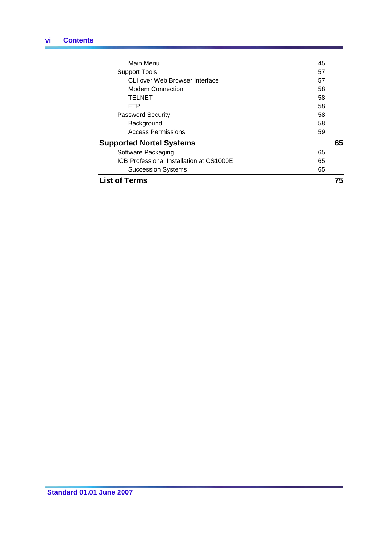| <b>List of Terms</b>                     | 75 |
|------------------------------------------|----|
| <b>Succession Systems</b>                | 65 |
| ICB Professional Installation at CS1000E | 65 |
| Software Packaging                       | 65 |
| <b>Supported Nortel Systems</b>          | 65 |
| <b>Access Permissions</b>                | 59 |
| Background                               | 58 |
| <b>Password Security</b>                 | 58 |
| <b>FTP</b>                               | 58 |
| <b>TELNET</b>                            | 58 |
| Modem Connection                         | 58 |
| CLI over Web Browser Interface           | 57 |
| <b>Support Tools</b>                     | 57 |
| <b>Main Menu</b>                         | 45 |
|                                          |    |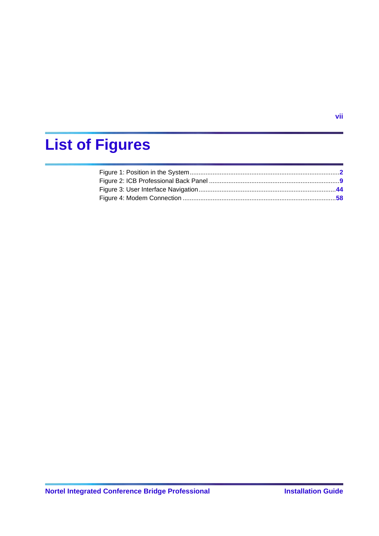# **List of Figures**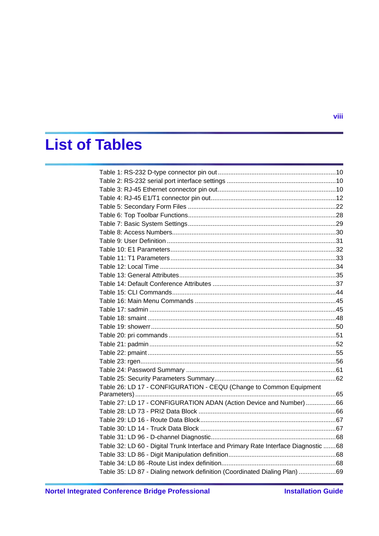# **List of Tables**

| Table 26: LD 17 - CONFIGURATION - CEQU (Change to Common Equipment                  |  |
|-------------------------------------------------------------------------------------|--|
|                                                                                     |  |
| Table 27: LD 17 - CONFIGURATION ADAN (Action Device and Number)66                   |  |
|                                                                                     |  |
|                                                                                     |  |
|                                                                                     |  |
|                                                                                     |  |
| Table 32: LD 60 - Digital Trunk Interface and Primary Rate Interface Diagnostic  68 |  |
|                                                                                     |  |
|                                                                                     |  |
| Table 35: LD 87 - Dialing network definition (Coordinated Dialing Plan) 69          |  |
|                                                                                     |  |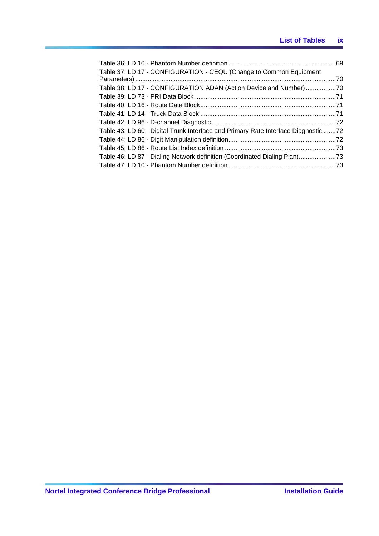# **List of Tables ix**

| Table 37: LD 17 - CONFIGURATION - CEQU (Change to Common Equipment                 |  |
|------------------------------------------------------------------------------------|--|
|                                                                                    |  |
| Table 38: LD 17 - CONFIGURATION ADAN (Action Device and Number)70                  |  |
|                                                                                    |  |
|                                                                                    |  |
|                                                                                    |  |
|                                                                                    |  |
| Table 43: LD 60 - Digital Trunk Interface and Primary Rate Interface Diagnostic 72 |  |
|                                                                                    |  |
|                                                                                    |  |
| Table 46: LD 87 - Dialing Network definition (Coordinated Dialing Plan)73          |  |
|                                                                                    |  |
|                                                                                    |  |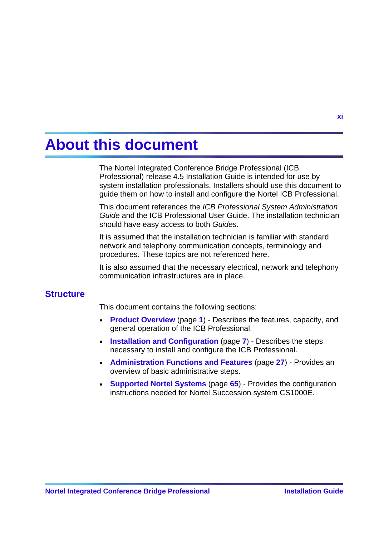# <span id="page-8-0"></span>**About this document**

The Nortel Integrated Conference Bridge Professional (ICB Professional) release 4.5 Installation Guide is intended for use by system installation professionals. Installers should use this document to guide them on how to install and configure the Nortel ICB Professional.

This document references the *ICB Professional System Administration Guide* and the ICB Professional User Guide. The installation technician should have easy access to both *Guides*.

It is assumed that the installation technician is familiar with standard network and telephony communication concepts, terminology and procedures. These topics are not referenced here.

It is also assumed that the necessary electrical, network and telephony communication infrastructures are in place.

# **Structure**

This document contains the following sections:

- **Product Overview** (page [1](#page-9-0)) Describes the features, capacity, and general operation of the ICB Professional.
- **Installation and Configuration** (page [7](#page-14-0)) Describes the steps necessary to install and configure the ICB Professional.
- **Administration Functions and Features** (page [27](#page-34-0)) Provides an overview of basic administrative steps.
- **Supported Nortel Systems** (page [65](#page-72-0)) Provides the configuration instructions needed for Nortel Succession system CS1000E.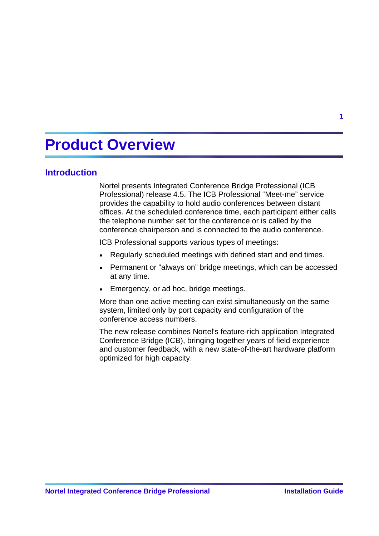# <span id="page-9-0"></span>**Product Overview**

# **Introduction**

Nortel presents Integrated Conference Bridge Professional (ICB Professional) release 4.5. The ICB Professional "Meet-me" service provides the capability to hold audio conferences between distant offices. At the scheduled conference time, each participant either calls the telephone number set for the conference or is called by the conference chairperson and is connected to the audio conference.

ICB Professional supports various types of meetings:

- Regularly scheduled meetings with defined start and end times.
- Permanent or "always on" bridge meetings, which can be accessed at any time.
- Emergency, or ad hoc, bridge meetings.

More than one active meeting can exist simultaneously on the same system, limited only by port capacity and configuration of the conference access numbers.

The new release combines Nortel's feature-rich application Integrated Conference Bridge (ICB), bringing together years of field experience and customer feedback, with a new state-of-the-art hardware platform optimized for high capacity.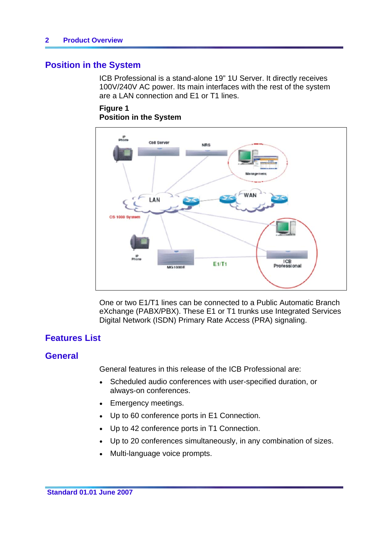# <span id="page-10-0"></span>**Position in the System**

ICB Professional is a stand-alone 19" 1U Server. It directly receives 100V/240V AC power. Its main interfaces with the rest of the system are a LAN connection and E1 or T1 lines.

# **Figure 1 Position in the System**



One or two E1/T1 lines can be connected to a Public Automatic Branch eXchange (PABX/PBX). These E1 or T1 trunks use Integrated Services Digital Network (ISDN) Primary Rate Access (PRA) signaling.

# **Features List**

# **General**

General features in this release of the ICB Professional are:

- Scheduled audio conferences with user-specified duration, or always-on conferences.
- Emergency meetings.
- Up to 60 conference ports in E1 Connection.
- Up to 42 conference ports in T1 Connection.
- Up to 20 conferences simultaneously, in any combination of sizes.
- Multi-language voice prompts.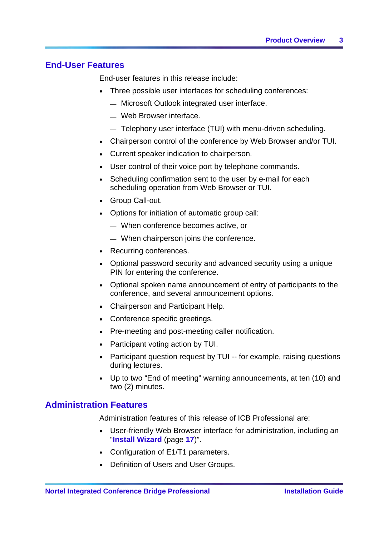# **End-User Features**

End-user features in this release include:

- Three possible user interfaces for scheduling conferences:
	- ⎯ Microsoft Outlook integrated user interface.
	- ⎯ Web Browser interface.
	- $-$  Telephony user interface (TUI) with menu-driven scheduling.
- Chairperson control of the conference by Web Browser and/or TUI.
- Current speaker indication to chairperson.
- User control of their voice port by telephone commands.
- Scheduling confirmation sent to the user by e-mail for each scheduling operation from Web Browser or TUI.
- Group Call-out.
- Options for initiation of automatic group call:
	- ⎯ When conference becomes active, or
	- ⎯ When chairperson joins the conference.
- Recurring conferences.
- Optional password security and advanced security using a unique PIN for entering the conference.
- Optional spoken name announcement of entry of participants to the conference, and several announcement options.
- Chairperson and Participant Help.
- Conference specific greetings.
- Pre-meeting and post-meeting caller notification.
- Participant voting action by TUI.
- Participant question request by TUI -- for example, raising questions during lectures.
- Up to two "End of meeting" warning announcements, at ten (10) and two (2) minutes.

# **Administration Features**

Administration features of this release of ICB Professional are:

- User-friendly Web Browser interface for administration, including an "**Install Wizard** (page **[17](#page-24-0)**)".
- Configuration of E1/T1 parameters.
- Definition of Users and User Groups.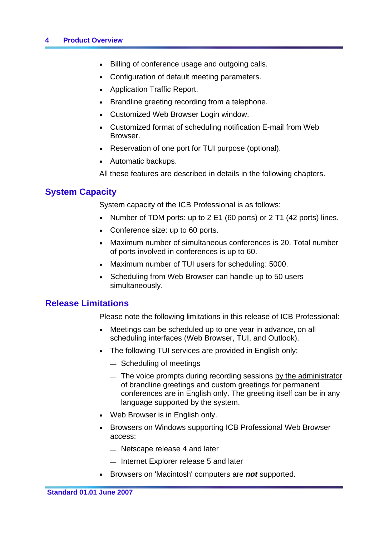# **4 Product Overview**

- Billing of conference usage and outgoing calls.
- Configuration of default meeting parameters.
- Application Traffic Report.
- Brandline greeting recording from a telephone.
- Customized Web Browser Login window.
- Customized format of scheduling notification E-mail from Web Browser.
- Reservation of one port for TUI purpose (optional).
- Automatic backups.

All these features are described in details in the following chapters.

# **System Capacity**

System capacity of the ICB Professional is as follows:

- Number of TDM ports: up to 2 E1 (60 ports) or 2 T1 (42 ports) lines.
- Conference size: up to 60 ports.
- Maximum number of simultaneous conferences is 20. Total number of ports involved in conferences is up to 60.
- Maximum number of TUI users for scheduling: 5000.
- Scheduling from Web Browser can handle up to 50 users simultaneously.

# **Release Limitations**

Please note the following limitations in this release of ICB Professional:

- Meetings can be scheduled up to one year in advance, on all scheduling interfaces (Web Browser, TUI, and Outlook).
- The following TUI services are provided in English only:
	- Scheduling of meetings
	- $-$  The voice prompts during recording sessions by the administrator of brandline greetings and custom greetings for permanent conferences are in English only. The greeting itself can be in any language supported by the system.
- Web Browser is in English only.
- Browsers on Windows supporting ICB Professional Web Browser access:
	- Netscape release 4 and later
	- $-$  Internet Explorer release 5 and later
- y Browsers on 'Macintosh' computers are *not* supported.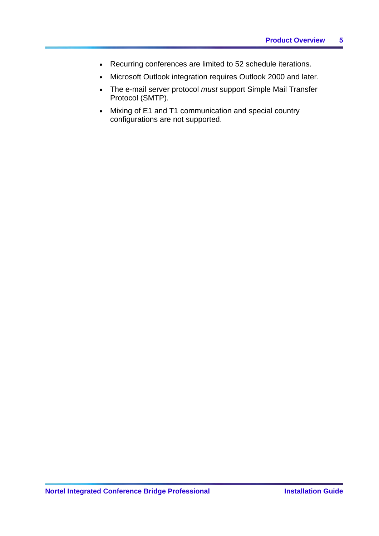- Recurring conferences are limited to 52 schedule iterations.
- Microsoft Outlook integration requires Outlook 2000 and later.
- The e-mail server protocol *must* support Simple Mail Transfer Protocol (SMTP).
- Mixing of E1 and T1 communication and special country configurations are not supported.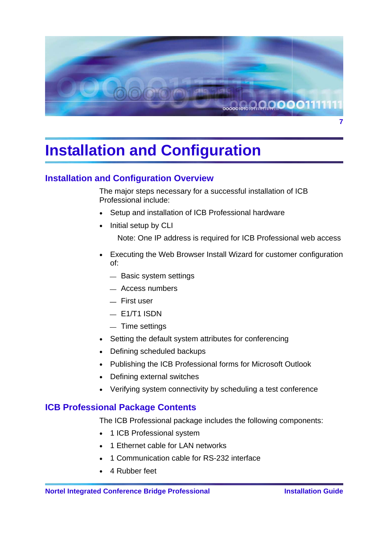<span id="page-14-0"></span>

# **Installation and Configuration**

# **Installation and Configuration Overview**

The major steps necessary for a successful installation of ICB Professional include:

- Setup and installation of ICB Professional hardware
- Initial setup by CLI

Note: One IP address is required for ICB Professional web access

- Executing the Web Browser Install Wizard for customer configuration of:
	- Basic system settings
	- $-$  Access numbers
	- $=$  First user
	- $-$  E1/T1 ISDN
	- $-$  Time settings
- Setting the default system attributes for conferencing
- Defining scheduled backups
- Publishing the ICB Professional forms for Microsoft Outlook
- Defining external switches
- Verifying system connectivity by scheduling a test conference

# **ICB Professional Package Contents**

The ICB Professional package includes the following components:

- 1 ICB Professional system
- 1 Ethernet cable for LAN networks
- 1 Communication cable for RS-232 interface
- 4 Rubber feet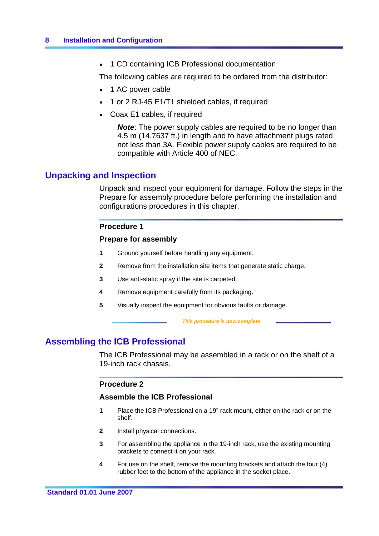<span id="page-15-0"></span>1 CD containing ICB Professional documentation

The following cables are required to be ordered from the distributor:

- 1 AC power cable
- 1 or 2 RJ-45 E1/T1 shielded cables, if required
- Coax E1 cables, if required

*Note*: The power supply cables are required to be no longer than 4.5 m (14.7637 ft.) in length and to have attachment plugs rated not less than 3A. Flexible power supply cables are required to be compatible with Article 400 of NEC.

# **Unpacking and Inspection**

Unpack and inspect your equipment for damage. Follow the steps in the Prepare for assembly procedure before performing the installation and configurations procedures in this chapter.

# **Procedure 1**

# **Prepare for assembly**

- **1** Ground yourself before handling any equipment.
- **2** Remove from the installation site items that generate static charge.
- **3** Use anti-static spray if the site is carpeted.
- **4** Remove equipment carefully from its packaging.
- **5** Visually inspect the equipment for obvious faults or damage.

 *This procedure is now complete* 

# **Assembling the ICB Professional**

The ICB Professional may be assembled in a rack or on the shelf of a 19-inch rack chassis.

# **Procedure 2**

# **Assemble the ICB Professional**

- **1** Place the ICB Professional on a 19" rack mount, either on the rack or on the shelf.
- **2** Install physical connections.
- **3** For assembling the appliance in the 19-inch rack, use the existing mounting brackets to connect it on your rack.
- **4** For use on the shelf, remove the mounting brackets and attach the four (4) rubber feet to the bottom of the appliance in the socket place.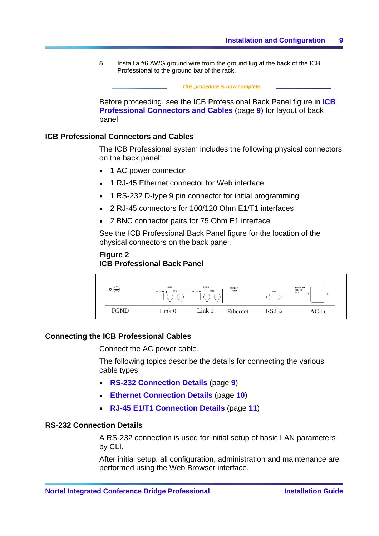<span id="page-16-0"></span>**5** Install a #6 AWG ground wire from the ground lug at the back of the ICB Professional to the ground bar of the rack.

|       | This procedure is now complete                                                                                                                |  |
|-------|-----------------------------------------------------------------------------------------------------------------------------------------------|--|
| panel | Before proceeding, see the ICB Professional Back Panel figure in ICB<br><b>Professional Connectors and Cables (page 9) for layout of back</b> |  |

# **ICB Professional Connectors and Cables**

The ICB Professional system includes the following physical connectors on the back panel:

- 1 AC power connector
- 1 RJ-45 Ethernet connector for Web interface
- 1 RS-232 D-type 9 pin connector for initial programming
- 2 RJ-45 connectors for 100/120 Ohm E1/T1 interfaces
- 2 BNC connector pairs for 75 Ohm E1 interface

See the ICB Professional Back Panel figure for the location of the physical connectors on the back panel.

## **Figure 2 ICB Professional Back Panel**



## **Connecting the ICB Professional Cables**

Connect the AC power cable.

The following topics describe the details for connecting the various cable types:

- y **RS-232 Connection Details** (page **[9](#page-16-0)**)
- y **Ethernet Connection Details** (page **[10](#page-17-0)**)
- y **RJ-45 E1/T1 Connection Details** (page **[11](#page-18-0)**)

# **RS-232 Connection Details**

A RS-232 connection is used for initial setup of basic LAN parameters by CLI.

After initial setup, all configuration, administration and maintenance are performed using the Web Browser interface.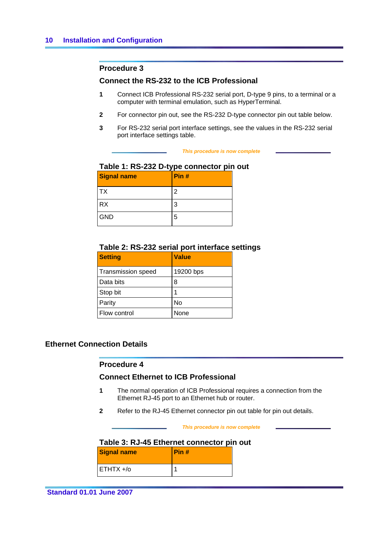## <span id="page-17-0"></span>**Procedure 3**

## **Connect the RS-232 to the ICB Professional**

- **1** Connect ICB Professional RS-232 serial port, D-type 9 pins, to a terminal or a computer with terminal emulation, such as HyperTerminal.
- **2** For connector pin out, see the RS-232 D-type connector pin out table below.
- **3** For RS-232 serial port interface settings, see the values in the RS-232 serial port interface settings table.

#### *This procedure is now complete*

# **Table 1: RS-232 D-type connector pin out**

| <b>Signal name</b> | Pin# |
|--------------------|------|
| <b>TX</b>          | າ    |
| <b>RX</b>          | 3    |
| <b>GND</b>         | 5    |

# **Table 2: RS-232 serial port interface settings**

| <b>Setting</b>            | <b>Value</b> |
|---------------------------|--------------|
| <b>Transmission speed</b> | 19200 bps    |
| Data bits                 | 8            |
| Stop bit                  | 1            |
| Parity                    | No           |
| Flow control              | None         |

# **Ethernet Connection Details**

## **Procedure 4**

# **Connect Ethernet to ICB Professional**

- **1** The normal operation of ICB Professional requires a connection from the Ethernet RJ-45 port to an Ethernet hub or router.
- **2** Refer to the RJ-45 Ethernet connector pin out table for pin out details.

#### *This procedure is now complete*

# **Table 3: RJ-45 Ethernet connector pin out**

| <b>Signal name</b> | Pin# |
|--------------------|------|
| $ETHTX + / o$      |      |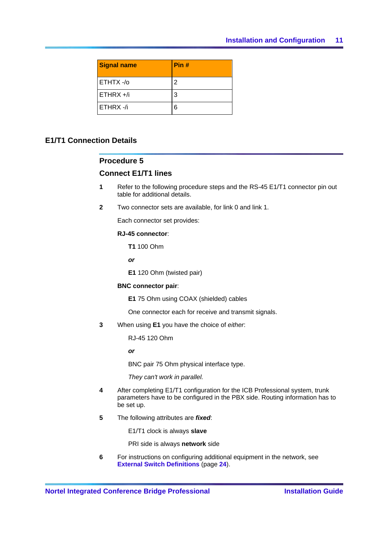<span id="page-18-0"></span>

| <b>Signal name</b> | Pin # |
|--------------------|-------|
| ETHTX-/o           | 2     |
| $ETHRX + h$        | 3     |
| ETHRX-/i           | 6     |

# **E1/T1 Connection Details**

## **Procedure 5**

## **Connect E1/T1 lines**

- **1** Refer to the following procedure steps and the RS-45 E1/T1 connector pin out table for additional details.
- **2** Two connector sets are available, for link 0 and link 1.

Each connector set provides:

### **RJ-45 connector**:

**T1** 100 Ohm

*or* 

**E1** 120 Ohm (twisted pair)

#### **BNC connector pair**:

**E1** 75 Ohm using COAX (shielded) cables

One connector each for receive and transmit signals.

**3** When using **E1** you have the choice of *either*:

RJ-45 120 Ohm

*or*

BNC pair 75 Ohm physical interface type.

*They can't work in parallel.*

- **4** After completing E1/T1 configuration for the ICB Professional system, trunk parameters have to be configured in the PBX side. Routing information has to be set up.
- **5** The following attributes are *fixed*:

E1/T1 clock is always **slave**

PRI side is always **network** side

**6** For instructions on configuring additional equipment in the network, see **External Switch Definitions** (page **[24](#page-31-0)**).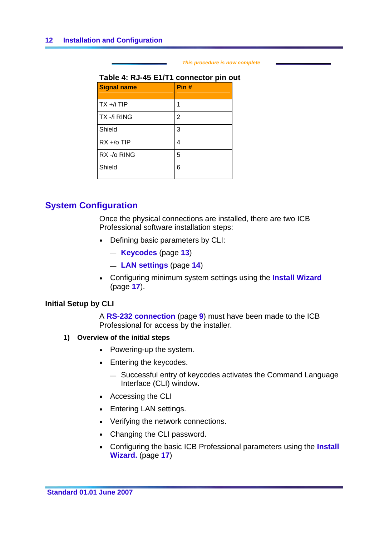#### *This procedure is now complete*

# <span id="page-19-0"></span>**Table 4: RJ-45 E1/T1 connector pin out**

| <b>Signal name</b> | Pin#           |
|--------------------|----------------|
| $TX + /$ i TIP     | 1              |
| TX -/i RING        | $\overline{2}$ |
| Shield             | 3              |
| $RX + / o TIP$     | 4              |
| RX -/o RING        | 5              |
| Shield             | 6              |

# **System Configuration**

Once the physical connections are installed, there are two ICB Professional software installation steps:

- Defining basic parameters by CLI:
	- ⎯ **Keycodes** (page **[13](#page-20-0)**)
	- ⎯ **LAN settings** (page **[14](#page-21-0)**)
- **Configuring minimum system settings using the Install Wizard** (page **[17](#page-24-0)**).

# **Initial Setup by CLI**

A **RS-232 connection** (page **[9](#page-16-0)**) must have been made to the ICB Professional for access by the installer.

- **1) Overview of the initial steps** 
	- Powering-up the system.
	- Entering the keycodes.
		- Successful entry of keycodes activates the Command Language Interface (CLI) window.
	- Accessing the CLI
	- Entering LAN settings.
	- Verifying the network connections.
	- Changing the CLI password.
	- Configuring the basic ICB Professional parameters using the **Install Wizard.** (page **[17](#page-24-0)**)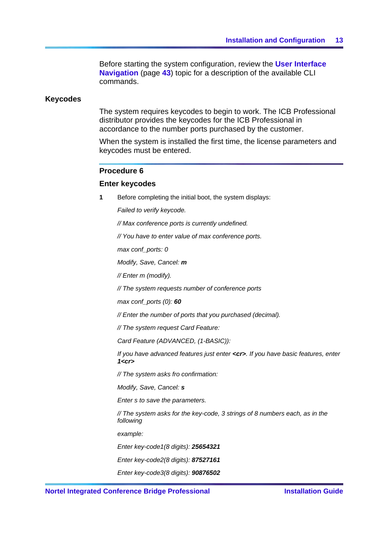Before starting the system configuration, review the **User Interface Navigation** (page **[43](#page-50-0)**) topic for a description of the available CLI commands.

## <span id="page-20-0"></span>**Keycodes**

The system requires keycodes to begin to work. The ICB Professional distributor provides the keycodes for the ICB Professional in accordance to the number ports purchased by the customer.

When the system is installed the first time, the license parameters and keycodes must be entered.

### **Procedure 6**

### **Enter keycodes**

**1** Before completing the initial boot, the system displays:

*Failed to verify keycode.*

*// Max conference ports is currently undefined.*

*// You have to enter value of max conference ports.*

*max conf\_ports: 0*

*Modify, Save, Cancel: m*

*// Enter m (modify).*

*// The system requests number of conference ports*

*max conf\_ports (0): 60*

*// Enter the number of ports that you purchased (decimal).*

*// The system request Card Feature:*

*Card Feature (ADVANCED, (1-BASIC)):*

*If you have advanced features just enter <cr>. If you have basic features, enter 1<cr>*

*// The system asks fro confirmation:*

*Modify, Save, Cancel: s*

*Enter s to save the parameters.*

*// The system asks for the key-code, 3 strings of 8 numbers each, as in the following*

*example:*

*Enter key-code1(8 digits): 25654321*

*Enter key-code2(8 digits): 87527161*

*Enter key-code3(8 digits): 90876502*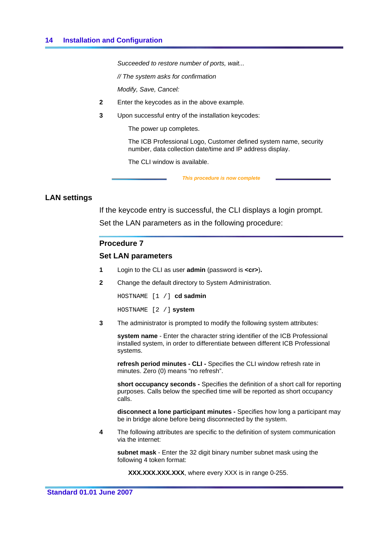<span id="page-21-0"></span>*Succeeded to restore number of ports, wait...* 

*// The system asks for confirmation*

*Modify, Save, Cancel:*

- **2** Enter the keycodes as in the above example*.*
- **3** Upon successful entry of the installation keycodes:

The power up completes.

The ICB Professional Logo, Customer defined system name, security number, data collection date/time and IP address display.

The CLI window is available.

 *This procedure is now complete* 

## **LAN settings**

If the keycode entry is successful, the CLI displays a login prompt.

Set the LAN parameters as in the following procedure:

### **Procedure 7**

## **Set LAN parameters**

- **1** Login to the CLI as user **admin** (password is **<cr>**)**.**
- **2** Change the default directory to System Administration.

HOSTNAME [1 /] **cd sadmin** 

HOSTNAME [2 /] **system**

**3** The administrator is prompted to modify the following system attributes:

**system name** - Enter the character string identifier of the ICB Professional installed system, in order to differentiate between different ICB Professional systems.

**refresh period minutes - CLI -** Specifies the CLI window refresh rate in minutes. Zero (0) means "no refresh".

**short occupancy seconds -** Specifies the definition of a short call for reporting purposes. Calls below the specified time will be reported as short occupancy calls.

**disconnect a lone participant minutes -** Specifies how long a participant may be in bridge alone before being disconnected by the system.

**4** The following attributes are specific to the definition of system communication via the internet:

**subnet mask** - Enter the 32 digit binary number subnet mask using the following 4 token format:

**XXX.XXX.XXX.XXX**, where every XXX is in range 0-255.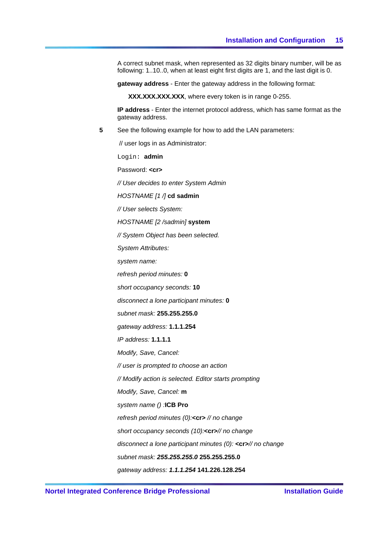A correct subnet mask, when represented as 32 digits binary number, will be as following: 1..10..0, when at least eight first digits are 1, and the last digit is 0.

**gateway address** - Enter the gateway address in the following format:

**XXX.XXX.XXX.XXX**, where every token is in range 0-255.

**IP address** - Enter the internet protocol address, which has same format as the gateway address.

**5** See the following example for how to add the LAN parameters:

// user logs in as Administrator:

Login: **admin** 

Password: <cr>

*// User decides to enter System Admin*

*HOSTNAME [1 /]* **cd sadmin**

*// User selects System:*

*HOSTNAME [2 /sadmin]* **system**

*// System Object has been selected.*

*System Attributes:*

*system name:*

*refresh period minutes:* **0**

*short occupancy seconds:* **10**

*disconnect a lone participant minutes:* **0**

*subnet mask:* **255.255.255.0**

*gateway address:* **1.1.1.254**

*IP address:* **1.1.1.1**

*Modify, Save, Cancel:*

*// user is prompted to choose an action*

*// Modify action is selected. Editor starts prompting*

*Modify, Save, Cancel:* **m**

*system name () :***ICB Pro**

*refresh period minutes (0):***<cr>** *// no change*

*short occupancy seconds (10):***<cr>***// no change*

*disconnect a lone participant minutes (0):* **<cr>***// no change*

*subnet mask: 255.255.255.0* **255.255.255.0** 

*gateway address: 1.1.1.254* **141.226.128.254**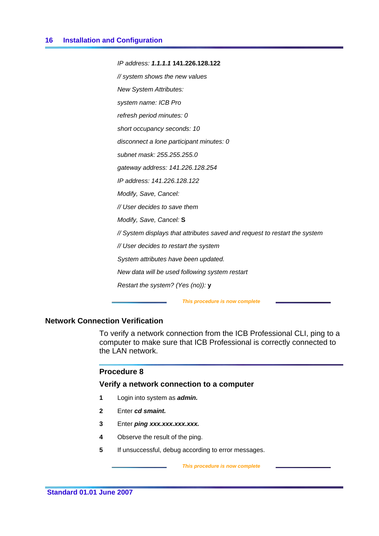*IP address: 1.1.1.1* **141.226.128.122** *// system shows the new values New System Attributes: system name: ICB Pro refresh period minutes: 0 short occupancy seconds: 10 disconnect a lone participant minutes: 0 subnet mask: 255.255.255.0 gateway address: 141.226.128.254 IP address: 141.226.128.122 Modify, Save, Cancel: // User decides to save them Modify, Save, Cancel:* **S** *// System displays that attributes saved and request to restart the system // User decides to restart the system System attributes have been updated. New data will be used following system restart Restart the system? (Yes (no)):* **y**

#### *This procedure is now complete*

# **Network Connection Verification**

To verify a network connection from the ICB Professional CLI, ping to a computer to make sure that ICB Professional is correctly connected to the LAN network.

## **Procedure 8**

# **Verify a network connection to a computer**

- **1** Login into system as *admin.*
- **2** Enter *cd smaint.*
- **3** Enter *ping xxx.xxx.xxx.xxx.*
- **4** Observe the result of the ping.
- **5** If unsuccessful, debug according to error messages.

 *This procedure is now complete*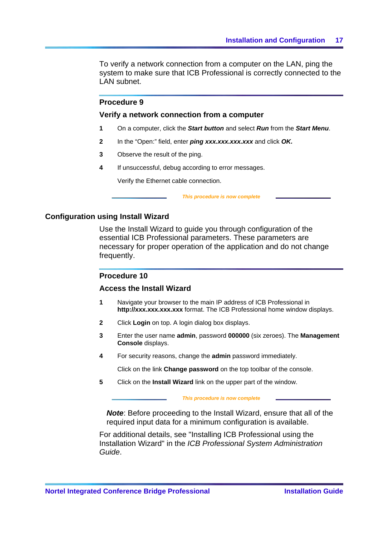<span id="page-24-0"></span>To verify a network connection from a computer on the LAN, ping the system to make sure that ICB Professional is correctly connected to the LAN subnet.

# **Procedure 9**

### **Verify a network connection from a computer**

- **1** On a computer, click the *Start button* and select *Run* from the *Start Menu*.
- **2** In the "Open:" field, enter *ping xxx.xxx.xxx.xxx* and click *OK.*
- **3** Observe the result of the ping.
- **4** If unsuccessful, debug according to error messages.

Verify the Ethernet cable connection.

 *This procedure is now complete* 

## **Configuration using Install Wizard**

Use the Install Wizard to guide you through configuration of the essential ICB Professional parameters. These parameters are necessary for proper operation of the application and do not change frequently.

## **Procedure 10**

## **Access the Install Wizard**

- **1** Navigate your browser to the main IP address of ICB Professional in **http://xxx.xxx.xxx.xxx** format. The ICB Professional home window displays.
- **2** Click **Login** on top. A login dialog box displays.
- **3** Enter the user name **admin**, password **000000** (six zeroes). The **Management Console** displays.
- **4** For security reasons, change the **admin** password immediately.

Click on the link **Change password** on the top toolbar of the console.

**5** Click on the **Install Wizard** link on the upper part of the window.

#### *This procedure is now complete*

*Note*: Before proceeding to the Install Wizard, ensure that all of the required input data for a minimum configuration is available.

For additional details, see "Installing ICB Professional using the Installation Wizard" in the *ICB Professional System Administration Guide*.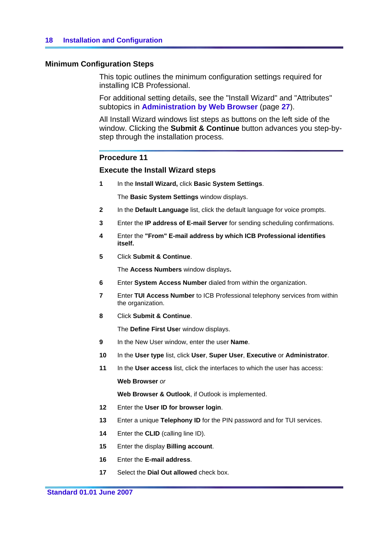# **Minimum Configuration Steps**

This topic outlines the minimum configuration settings required for installing ICB Professional.

For additional setting details, see the "Install Wizard" and "Attributes" subtopics in **Administration by Web Browser** (page **[27](#page-34-0)**).

All Install Wizard windows list steps as buttons on the left side of the window. Clicking the **Submit & Continue** button advances you step-bystep through the installation process.

## **Procedure 11**

## **Execute the Install Wizard steps**

**1** In the **Install Wizard,** click **Basic System Settings**.

The **Basic System Settings** window displays.

- **2** In the **Default Language** list, click the default language for voice prompts.
- **3** Enter the **IP address of E-mail Server** for sending scheduling confirmations.
- **4** Enter the **"From" E-mail address by which ICB Professional identifies itself.**
- **5** Click **Submit & Continue**.

The **Access Numbers** window displays**.**

- **6** Enter **System Access Number** dialed from within the organization.
- **7** Enter **TUI Access Number** to ICB Professional telephony services from within the organization.
- **8** Click **Submit & Continue**.

The **Define First Use**r window displays.

- **9** In the New User window, enter the user **Name**.
- **10** In the **User type** list, click **User**, **Super User**, **Executive** or **Administrator**.
- **11** In the **User access** list, click the interfaces to which the user has access:

**Web Browser** *or* 

**Web Browser & Outlook**, if Outlook is implemented.

- **12** Enter the **User ID for browser login**.
- **13** Enter a unique **Telephony ID** for the PIN password and for TUI services.
- **14** Enter the **CLID** (calling line ID).
- **15** Enter the display **Billing account**.
- **16** Enter the **E-mail address**.
- **17** Select the **Dial Out allowed** check box.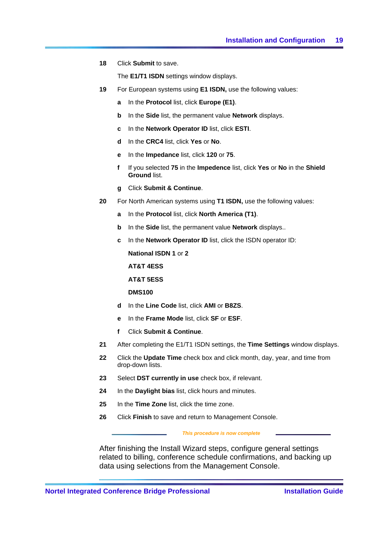**18** Click **Submit** to save.

The **E1/T1 ISDN** settings window displays.

- **19** For European systems using **E1 ISDN,** use the following values:
	- **a** In the **Protocol** list, click **Europe (E1)**.
	- **b** In the **Side** list, the permanent value **Network** displays.
	- **c** In the **Network Operator ID** list, click **ESTI**.
	- **d** In the **CRC4** list, click **Yes** or **No**.
	- **e** In the **Impedance** list, click **120** or **75**.
	- **f** If you selected **75** in the **Impedence** list, click **Yes** or **No** in the **Shield Ground** list.
	- **g** Click **Submit & Continue**.
- **20** For North American systems using **T1 ISDN,** use the following values:
	- **a** In the **Protocol** list, click **North America (T1)**.
	- **b** In the **Side** list, the permanent value **Network** displays..
	- **c** In the **Network Operator ID** list, click the ISDN operator ID:

**National ISDN 1** or **2**

**AT&T 4ESS**

**AT&T 5ESS**

**DMS100**

- **d** In the **Line Code** list, click **AMI** or **B8ZS**.
- **e** In the **Frame Mode** list, click **SF** or **ESF**.
- **f** Click **Submit & Continue**.
- **21** After completing the E1/T1 ISDN settings, the **Time Settings** window displays.
- **22** Click the **Update Time** check box and click month, day, year, and time from drop-down lists.
- **23** Select **DST currently in use** check box, if relevant.
- **24** In the **Daylight bias** list, click hours and minutes.
- **25** In the **Time Zone** list, click the time zone.
- **26** Click **Finish** to save and return to Management Console.

#### *This procedure is now complete*

After finishing the Install Wizard steps, configure general settings related to billing, conference schedule confirmations, and backing up data using selections from the Management Console.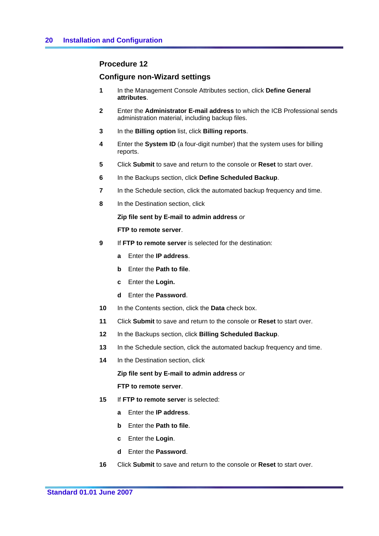# **Procedure 12**

# **Configure non-Wizard settings**

- **1** In the Management Console Attributes section, click **Define General attributes**.
- **2** Enter the **Administrator E-mail address** to which the ICB Professional sends administration material, including backup files.
- **3** In the **Billing option** list, click **Billing reports**.
- **4** Enter the **System ID** (a four-digit number) that the system uses for billing reports.
- **5** Click **Submit** to save and return to the console or **Reset** to start over.
- **6** In the Backups section, click **Define Scheduled Backup**.
- **7** In the Schedule section, click the automated backup frequency and time.
- **8** In the Destination section, click

**Zip file sent by E-mail to admin address** *or* 

**FTP to remote server**.

- **9** If **FTP to remote server** is selected for the destination:
	- **a** Enter the **IP address**.
	- **b** Enter the **Path to file**.
	- **c** Enter the **Login.**
	- **d** Enter the **Password**.
- **10** In the Contents section, click the **Data** check box.
- **11** Click **Submit** to save and return to the console or **Reset** to start over.
- **12** In the Backups section, click **Billing Scheduled Backup**.
- **13** In the Schedule section, click the automated backup frequency and time.
- **14** In the Destination section, click

**Zip file sent by E-mail to admin address** *or*

**FTP to remote server**.

- **15** If **FTP to remote serve**r is selected:
	- **a** Enter the **IP address**.
	- **b** Enter the **Path to file**.
	- **c** Enter the **Login**.
	- **d** Enter the **Password**.
- **16** Click **Submit** to save and return to the console or **Reset** to start over.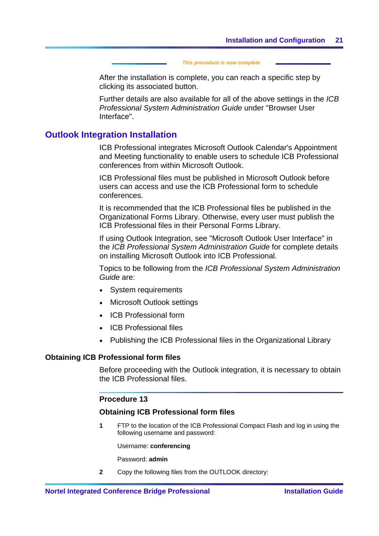#### *This procedure is now complete*

<span id="page-28-0"></span>After the installation is complete, you can reach a specific step by clicking its associated button.

Further details are also available for all of the above settings in the *ICB Professional System Administration Guide* under "Browser User Interface".

# **Outlook Integration Installation**

ICB Professional integrates Microsoft Outlook Calendar's Appointment and Meeting functionality to enable users to schedule ICB Professional conferences from within Microsoft Outlook.

ICB Professional files must be published in Microsoft Outlook before users can access and use the ICB Professional form to schedule conferences.

It is recommended that the ICB Professional files be published in the Organizational Forms Library. Otherwise, every user must publish the ICB Professional files in their Personal Forms Library.

If using Outlook Integration, see "Microsoft Outlook User Interface" in the *ICB Professional System Administration Guide* for complete details on installing Microsoft Outlook into ICB Professional.

Topics to be following from the *ICB Professional System Administration Guide* are:

- System requirements
- Microsoft Outlook settings
- ICB Professional form
- ICB Professional files
- Publishing the ICB Professional files in the Organizational Library

## **Obtaining ICB Professional form files**

Before proceeding with the Outlook integration, it is necessary to obtain the ICB Professional files.

## **Procedure 13**

### **Obtaining ICB Professional form files**

**1** FTP to the location of the ICB Professional Compact Flash and log in using the following username and password:

Username: **conferencing**

Password: **admin**

**2** Copy the following files from the OUTLOOK directory: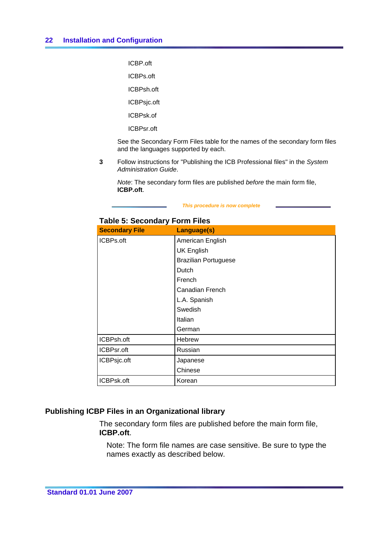<span id="page-29-0"></span>ICBP.oft

ICBPs.oft

ICBPsh.oft

ICBPsjc.oft

ICBPsk.of

ICBPsr.oft

See the Secondary Form Files table for the names of the secondary form files and the languages supported by each.

**3** Follow instructions for "Publishing the ICB Professional files" in the *System Administration Guide*.

*Note*: The secondary form files are published *before* the main form file, **ICBP.oft**.

#### *This procedure is now complete*

| <b>Secondary File</b> | Language(s)                 |
|-----------------------|-----------------------------|
| ICBPs.oft             | American English            |
|                       | <b>UK English</b>           |
|                       | <b>Brazilian Portuguese</b> |
|                       | Dutch                       |
|                       | French                      |
|                       | Canadian French             |
|                       | L.A. Spanish                |
|                       | Swedish                     |
|                       | Italian                     |
|                       | German                      |
| ICBPsh.oft            | Hebrew                      |
| ICBPsr.oft            | Russian                     |
| ICBPsjc.oft           | Japanese                    |
|                       | Chinese                     |
| ICBPsk.oft            | Korean                      |

# **Table 5: Secondary Form Files**

# **Publishing ICBP Files in an Organizational library**

The secondary form files are published before the main form file, **ICBP.oft**.

Note: The form file names are case sensitive. Be sure to type the names exactly as described below.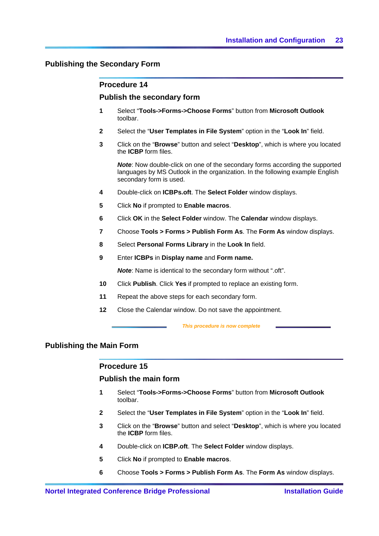# **Publishing the Secondary Form**

## **Procedure 14**

## **Publish the secondary form**

- **1** Select "**Tools->Forms->Choose Forms**" button from **Microsoft Outlook**  toolbar.
- **2** Select the "**User Templates in File System**" option in the "**Look In**" field.
- **3** Click on the "**Browse**" button and select "**Desktop**", which is where you located the **ICBP** form files.

*Note*: Now double-click on one of the secondary forms according the supported languages by MS Outlook in the organization. In the following example English secondary form is used.

- **4** Double-click on **ICBPs.oft**. The **Select Folder** window displays.
- **5** Click **No** if prompted to **Enable macros**.
- **6** Click **OK** in the **Select Folder** window. The **Calendar** window displays.
- **7** Choose **Tools > Forms > Publish Form As**. The **Form As** window displays.
- **8** Select **Personal Forms Library** in the **Look In** field.
- **9** Enter **ICBPs** in **Display name** and **Form name.**

*Note*: Name is identical to the secondary form without ".oft".

- **10** Click **Publish**. Click **Yes** if prompted to replace an existing form.
- **11** Repeat the above steps for each secondary form.
- **12** Close the Calendar window. Do not save the appointment.

 *This procedure is now complete* 

# **Publishing the Main Form**

## **Procedure 15**

## **Publish the main form**

- **1** Select "**Tools->Forms->Choose Forms**" button from **Microsoft Outlook**  toolbar.
- **2** Select the "**User Templates in File System**" option in the "**Look In**" field.
- **3** Click on the "**Browse**" button and select "**Desktop**", which is where you located the **ICBP** form files.
- **4** Double-click on **ICBP.oft**. The **Select Folder** window displays.
- **5** Click **No** if prompted to **Enable macros**.
- **6** Choose **Tools > Forms > Publish Form As**. The **Form As** window displays.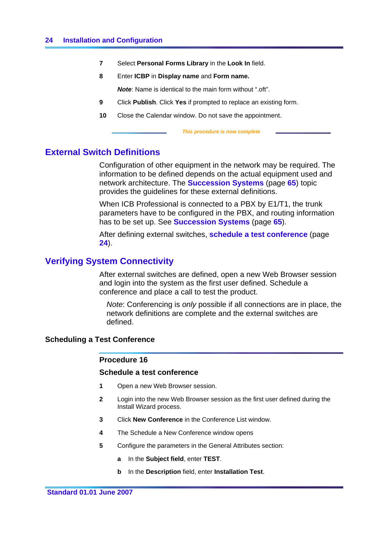- <span id="page-31-0"></span>**7** Select **Personal Forms Library** in the **Look In** field.
- **8** Enter **ICBP** in **Display name** and **Form name.**

*Note*: Name is identical to the main form without ".oft".

- **9** Click **Publish**. Click **Yes** if prompted to replace an existing form.
- **10** Close the Calendar window. Do not save the appointment.

 *This procedure is now complete* 

# **External Switch Definitions**

Configuration of other equipment in the network may be required. The information to be defined depends on the actual equipment used and network architecture. The **Succession Systems** (page **[65](#page-72-0)**) topic provides the guidelines for these external definitions.

When ICB Professional is connected to a PBX by E1/T1, the trunk parameters have to be configured in the PBX, and routing information has to be set up. See **Succession Systems** (page **[65](#page-72-0)**).

After defining external switches, **schedule a test conference** (page **[24](#page-31-0)**).

# **Verifying System Connectivity**

After external switches are defined, open a new Web Browser session and login into the system as the first user defined. Schedule a conference and place a call to test the product.

*Note*: Conferencing is *only* possible if all connections are in place, the network definitions are complete and the external switches are defined.

## **Scheduling a Test Conference**

## **Procedure 16**

# **Schedule a test conference**

- **1** Open a new Web Browser session.
- **2** Login into the new Web Browser session as the first user defined during the Install Wizard process.
- **3** Click **New Conference** in the Conference List window.
- **4** The Schedule a New Conference window opens
- **5** Configure the parameters in the General Attributes section:
	- **a** In the **Subject field**, enter **TEST**.
	- **b** In the **Description** field, enter **Installation Test**.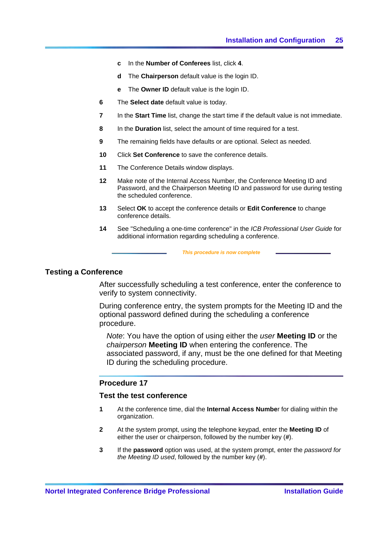- <span id="page-32-0"></span>**c** In the **Number of Conferees** list, click **4**.
- **d** The **Chairperson** default value is the login ID.
- **e** The **Owner ID** default value is the login ID.
- **6** The **Select date** default value is today.
- **7** In the **Start Time** list, change the start time if the default value is not immediate.
- **8** In the **Duration** list, select the amount of time required for a test.
- **9** The remaining fields have defaults or are optional. Select as needed.
- **10** Click **Set Conference** to save the conference details.
- **11** The Conference Details window displays.
- **12** Make note of the Internal Access Number, the Conference Meeting ID and Password, and the Chairperson Meeting ID and password for use during testing the scheduled conference.
- **13** Select **OK** to accept the conference details or **Edit Conference** to change conference details.
- **14** See "Scheduling a one-time conference" in the *ICB Professional User Guide* for additional information regarding scheduling a conference.

#### *This procedure is now complete*

## **Testing a Conference**

After successfully scheduling a test conference, enter the conference to verify to system connectivity.

During conference entry, the system prompts for the Meeting ID and the optional password defined during the scheduling a conference procedure.

*Note*: You have the option of using either the *user* **Meeting ID** or the *chairperson* **Meeting ID** when entering the conference. The associated password, if any, must be the one defined for that Meeting ID during the scheduling procedure.

# **Procedure 17**

## **Test the test conference**

- **1** At the conference time, dial the **Internal Access Numbe**r for dialing within the organization.
- **2** At the system prompt, using the telephone keypad, enter the **Meeting ID** of either the user or chairperson, followed by the number key (**#**).
- **3** If the **password** option was used, at the system prompt, enter the *password for the Meeting ID used*, followed by the number key (**#**).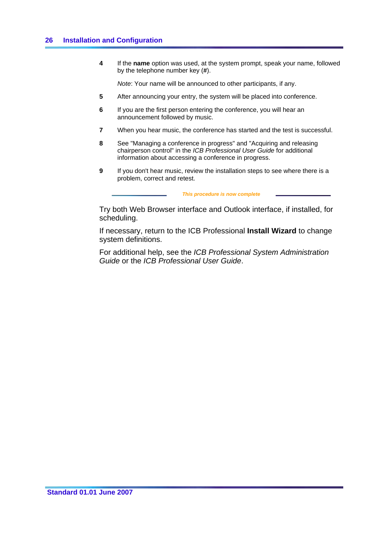**4** If the **name** option was used, at the system prompt, speak your name, followed by the telephone number key (**#**).

*Note*: Your name will be announced to other participants, if any.

- **5** After announcing your entry, the system will be placed into conference.
- **6** If you are the first person entering the conference, you will hear an announcement followed by music.
- **7** When you hear music, the conference has started and the test is successful.
- **8** See "Managing a conference in progress" and "Acquiring and releasing chairperson control" in the *ICB Professional User Guide* for additional information about accessing a conference in progress.
- **9** If you don't hear music, review the installation steps to see where there is a problem, correct and retest.

#### *This procedure is now complete*

Try both Web Browser interface and Outlook interface, if installed, for scheduling.

If necessary, return to the ICB Professional **Install Wizard** to change system definitions.

For additional help, see the *ICB Professional System Administration Guide* or the *ICB Professional User Guide*.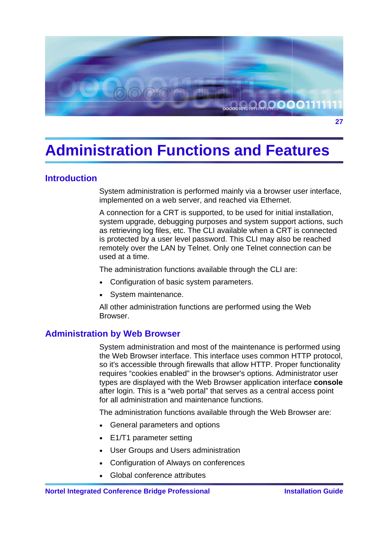<span id="page-34-0"></span>

# **Administration Functions and Features**

# **Introduction**

System administration is performed mainly via a browser user interface, implemented on a web server, and reached via Ethernet.

A connection for a CRT is supported, to be used for initial installation, system upgrade, debugging purposes and system support actions, such as retrieving log files, etc. The CLI available when a CRT is connected is protected by a user level password. This CLI may also be reached remotely over the LAN by Telnet. Only one Telnet connection can be used at a time.

The administration functions available through the CLI are:

- Configuration of basic system parameters.
- System maintenance.

All other administration functions are performed using the Web Browser.

# **Administration by Web Browser**

System administration and most of the maintenance is performed using the Web Browser interface. This interface uses common HTTP protocol, so it's accessible through firewalls that allow HTTP. Proper functionality requires "cookies enabled" in the browser's options. Administrator user types are displayed with the Web Browser application interface **console** after login. This is a "web portal" that serves as a central access point for all administration and maintenance functions.

The administration functions available through the Web Browser are:

- General parameters and options
- E1/T1 parameter setting
- User Groups and Users administration
- Configuration of Always on conferences
- Global conference attributes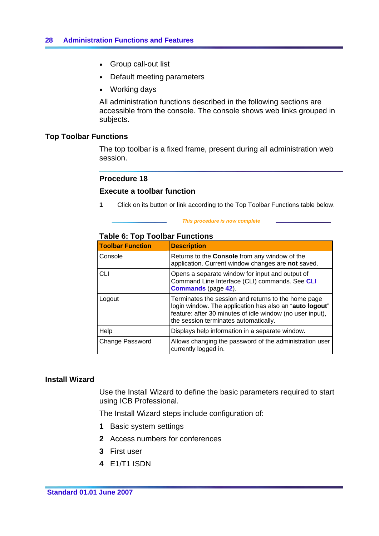- <span id="page-35-0"></span>• Group call-out list
- Default meeting parameters
- Working days

All administration functions described in the following sections are accessible from the console. The console shows web links grouped in subjects.

# **Top Toolbar Functions**

The top toolbar is a fixed frame, present during all administration web session.

# **Procedure 18**

## **Execute a toolbar function**

**1** Click on its button or link according to the Top Toolbar Functions table below.

#### *This procedure is now complete*

## **Table 6: Top Toolbar Functions**

| <b>Toolbar Function</b> | <b>Description</b>                                                                                                                                                                                                   |
|-------------------------|----------------------------------------------------------------------------------------------------------------------------------------------------------------------------------------------------------------------|
| Console                 | Returns to the <b>Console</b> from any window of the<br>application. Current window changes are not saved.                                                                                                           |
| <b>CLI</b>              | Opens a separate window for input and output of<br>Command Line Interface (CLI) commands. See CLI<br><b>Commands</b> (page 42).                                                                                      |
| Logout                  | Terminates the session and returns to the home page<br>login window. The application has also an "auto logout"<br>feature: after 30 minutes of idle window (no user input),<br>the session terminates automatically. |
| Help                    | Displays help information in a separate window.                                                                                                                                                                      |
| Change Password         | Allows changing the password of the administration user<br>currently logged in.                                                                                                                                      |

# **Install Wizard**

Use the Install Wizard to define the basic parameters required to start using ICB Professional.

The Install Wizard steps include configuration of:

- **1** Basic system settings
- **2** Access numbers for conferences
- **3** First user
- **4** E1/T1 ISDN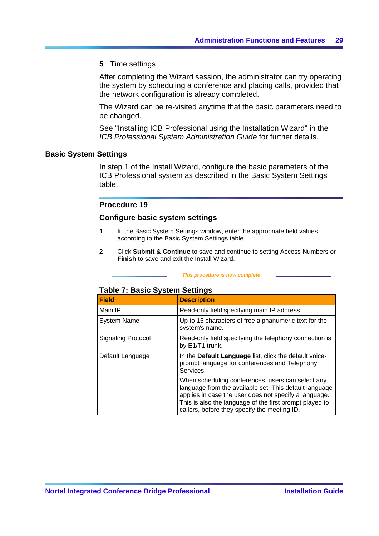# **5** Time settings

After completing the Wizard session, the administrator can try operating the system by scheduling a conference and placing calls, provided that the network configuration is already completed.

The Wizard can be re-visited anytime that the basic parameters need to be changed.

See "Installing ICB Professional using the Installation Wizard" in the *ICB Professional System Administration Guide* for further details.

### **Basic System Settings**

In step 1 of the Install Wizard, configure the basic parameters of the ICB Professional system as described in the Basic System Settings table.

## **Procedure 19**

### **Configure basic system settings**

- **1** In the Basic System Settings window, enter the appropriate field values according to the Basic System Settings table.
- **2** Click **Submit & Continue** to save and continue to setting Access Numbers or **Finish** to save and exit the Install Wizard.

#### *This procedure is now complete*

# **Table 7: Basic System Settings**

| <b>Field</b>              | <b>Description</b>                                                                                                                                                                                                                                                              |
|---------------------------|---------------------------------------------------------------------------------------------------------------------------------------------------------------------------------------------------------------------------------------------------------------------------------|
| Main IP                   | Read-only field specifying main IP address.                                                                                                                                                                                                                                     |
| <b>System Name</b>        | Up to 15 characters of free alphanumeric text for the<br>system's name.                                                                                                                                                                                                         |
| <b>Signaling Protocol</b> | Read-only field specifying the telephony connection is<br>by E1/T1 trunk.                                                                                                                                                                                                       |
| Default Language          | In the Default Language list, click the default voice-<br>prompt language for conferences and Telephony<br>Services.                                                                                                                                                            |
|                           | When scheduling conferences, users can select any<br>language from the available set. This default language<br>applies in case the user does not specify a language.<br>This is also the language of the first prompt played to<br>callers, before they specify the meeting ID. |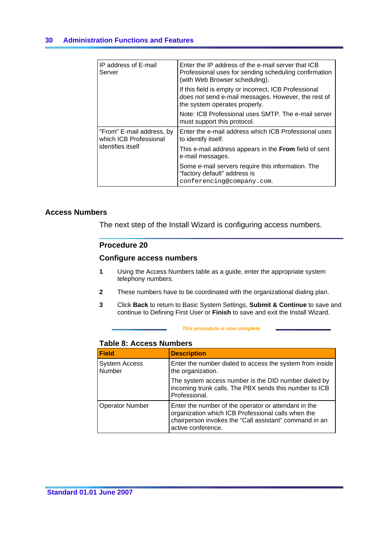| IP address of E-mail<br>Server                                           | Enter the IP address of the e-mail server that ICB<br>Professional uses for sending scheduling confirmation<br>(with Web Browser scheduling). |
|--------------------------------------------------------------------------|-----------------------------------------------------------------------------------------------------------------------------------------------|
|                                                                          | If this field is empty or incorrect, ICB Professional<br>does not send e-mail messages. However, the rest of<br>the system operates properly. |
|                                                                          | Note: ICB Professional uses SMTP. The e-mail server<br>must support this protocol.                                                            |
| "From" E-mail address, by<br>which ICB Professional<br>identifies itself | Enter the e-mail address which ICB Professional uses<br>to identify itself.                                                                   |
|                                                                          | This e-mail address appears in the From field of sent<br>e-mail messages.                                                                     |
|                                                                          | Some e-mail servers require this information. The<br>"factory default" address is<br>conferencing@company.com.                                |

# **Access Numbers**

The next step of the Install Wizard is configuring access numbers.

# **Procedure 20**

### **Configure access numbers**

- **1** Using the Access Numbers table as a guide, enter the appropriate system telephony numbers.
- **2** These numbers have to be coordinated with the organizational dialing plan.
- **3** Click **Back** to return to Basic System Settings, **Submit & Continue** to save and continue to Defining First User or **Finish** to save and exit the Install Wizard.

#### *This procedure is now complete*

# **Table 8: Access Numbers**

| <b>Field</b>                   | <b>Description</b>                                                                                                                                                                         |
|--------------------------------|--------------------------------------------------------------------------------------------------------------------------------------------------------------------------------------------|
| <b>System Access</b><br>Number | Enter the number dialed to access the system from inside<br>the organization.                                                                                                              |
|                                | The system access number is the DID number dialed by<br>incoming trunk calls. The PBX sends this number to ICB<br>Professional.                                                            |
| <b>Operator Number</b>         | Enter the number of the operator or attendant in the<br>organization which ICB Professional calls when the<br>chairperson invokes the "Call assistant" command in an<br>active conference. |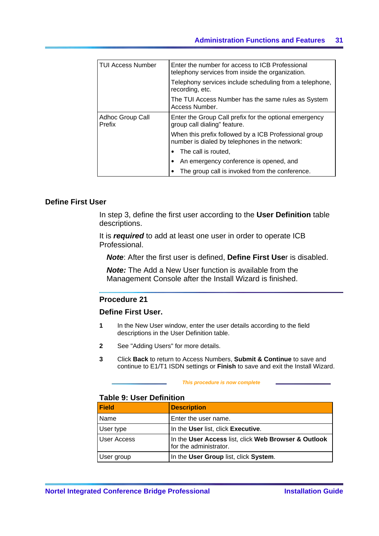| <b>TUI Access Number</b>          | Enter the number for access to ICB Professional<br>telephony services from inside the organization.     |
|-----------------------------------|---------------------------------------------------------------------------------------------------------|
|                                   | Telephony services include scheduling from a telephone,<br>recording, etc.                              |
|                                   | The TUI Access Number has the same rules as System<br>Access Number.                                    |
| Adhoc Group Call<br><b>Prefix</b> | Enter the Group Call prefix for the optional emergency<br>group call dialing" feature.                  |
|                                   | When this prefix followed by a ICB Professional group<br>number is dialed by telephones in the network: |
|                                   | The call is routed.                                                                                     |
|                                   | An emergency conference is opened, and                                                                  |
|                                   | The group call is invoked from the conference.                                                          |

## **Define First User**

In step 3, define the first user according to the **User Definition** table descriptions.

It is *required* to add at least one user in order to operate ICB Professional.

*Note*: After the first user is defined, **Define First Use**r is disabled.

*Note:* The Add a New User function is available from the Management Console after the Install Wizard is finished.

# **Procedure 21**

# **Define First User.**

- **1** In the New User window, enter the user details according to the field descriptions in the User Definition table.
- **2** See "Adding Users" for more details.
- **3** Click **Back** to return to Access Numbers, **Submit & Continue** to save and continue to E1/T1 ISDN settings or **Finish** to save and exit the Install Wizard.

#### *This procedure is now complete*

# **Table 9: User Definition**

| Field              | <b>Description</b>                                                             |
|--------------------|--------------------------------------------------------------------------------|
| <b>Name</b>        | Enter the user name.                                                           |
| User type          | In the User list, click Executive.                                             |
| <b>User Access</b> | In the User Access list, click Web Browser & Outlook<br>for the administrator. |
| User group         | In the User Group list, click System.                                          |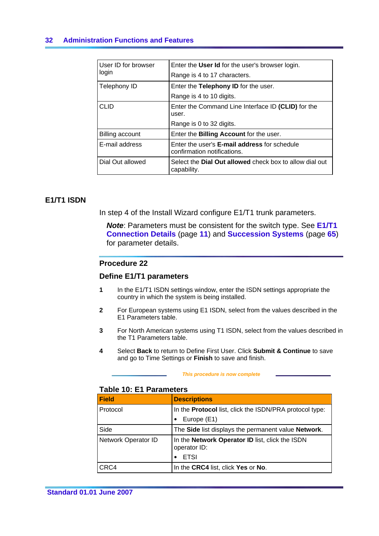# **32 Administration Functions and Features**

| User ID for browser<br>login | Enter the User Id for the user's browser login.                               |
|------------------------------|-------------------------------------------------------------------------------|
|                              | Range is 4 to 17 characters.                                                  |
| Telephony ID                 | Enter the Telephony ID for the user.                                          |
|                              | Range is 4 to 10 digits.                                                      |
| CLID                         | Enter the Command Line Interface ID (CLID) for the<br>user.                   |
|                              | Range is 0 to 32 digits.                                                      |
| Billing account              | Enter the <b>Billing Account</b> for the user.                                |
| E-mail address               | Enter the user's E-mail address for schedule<br>confirmation notifications.   |
| Dial Out allowed             | Select the <b>Dial Out allowed</b> check box to allow dial out<br>capability. |

# **E1/T1 ISDN**

In step 4 of the Install Wizard configure E1/T1 trunk parameters.

*Note*: Parameters must be consistent for the switch type. See **E1/T1 Connection Details** (page **[11](#page-18-0)**) and **Succession Systems** (page **[65](#page-72-0)**) for parameter details.

# **Procedure 22**

# **Define E1/T1 parameters**

- **1** In the E1/T1 ISDN settings window, enter the ISDN settings appropriate the country in which the system is being installed.
- **2** For European systems using E1 ISDN, select from the values described in the E1 Parameters table.
- **3** For North American systems using T1 ISDN, select from the values described in the T1 Parameters table.
- **4** Select **Back** to return to Define First User. Click **Submit & Continue** to save and go to Time Settings or **Finish** to save and finish.

#### *This procedure is now complete*

# **Table 10: E1 Parameters**

| <b>Field</b>        | <b>Descriptions</b>                                             |
|---------------------|-----------------------------------------------------------------|
| Protocol            | In the <b>Protocol</b> list, click the ISDN/PRA protocol type:  |
|                     | Europe (E1)                                                     |
| Side                | The Side list displays the permanent value Network.             |
| Network Operator ID | In the Network Operator ID list, click the ISDN<br>operator ID: |
|                     | <b>ETSI</b>                                                     |
| CRC4                | In the CRC4 list, click Yes or No.                              |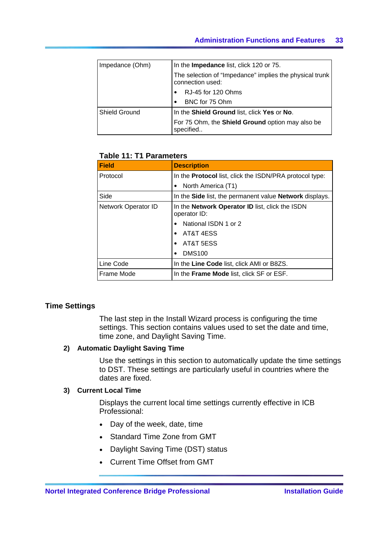| Impedance (Ohm) | In the Impedance list, click 120 or 75.                                     |
|-----------------|-----------------------------------------------------------------------------|
|                 | The selection of "Impedance" implies the physical trunk<br>connection used: |
|                 | RJ-45 for 120 Ohms                                                          |
|                 | BNC for 75 Ohm                                                              |
| Shield Ground   | In the Shield Ground list, click Yes or No.                                 |
|                 | For 75 Ohm, the Shield Ground option may also be<br>specified               |

# **Table 11: T1 Parameters**

| Field               | <b>Description</b>                                              |
|---------------------|-----------------------------------------------------------------|
| Protocol            | In the <b>Protocol</b> list, click the ISDN/PRA protocol type:  |
|                     | North America (T1)                                              |
| Side                | In the Side list, the permanent value Network displays.         |
| Network Operator ID | In the Network Operator ID list, click the ISDN<br>operator ID: |
|                     | National ISDN 1 or 2                                            |
|                     | AT&T 4ESS                                                       |
|                     | AT&T 5ESS                                                       |
|                     | <b>DMS100</b>                                                   |
| Line Code           | In the Line Code list, click AMI or B8ZS.                       |
| Frame Mode          | In the <b>Frame Mode</b> list, click SF or ESF.                 |

# **Time Settings**

The last step in the Install Wizard process is configuring the time settings. This section contains values used to set the date and time, time zone, and Daylight Saving Time.

# **2) Automatic Daylight Saving Time**

Use the settings in this section to automatically update the time settings to DST. These settings are particularly useful in countries where the dates are fixed.

# **3) Current Local Time**

Displays the current local time settings currently effective in ICB Professional:

- $\bullet$  Day of the week, date, time
- Standard Time Zone from GMT
- Daylight Saving Time (DST) status
- Current Time Offset from GMT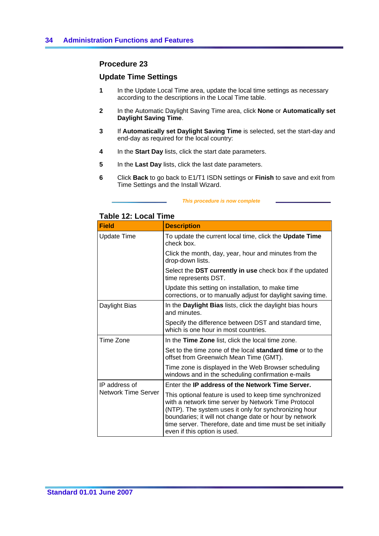# **Procedure 23**

# **Update Time Settings**

- **1** In the Update Local Time area, update the local time settings as necessary according to the descriptions in the Local Time table.
- **2** In the Automatic Daylight Saving Time area, click **None** or **Automatically set Daylight Saving Time**.
- **3** If **Automatically set Daylight Saving Time** is selected, set the start-day and end-day as required for the local country:
- **4** In the **Start Day** lists, click the start date parameters.
- **5** In the **Last Day** lists, click the last date parameters.
- **6** Click **Back** to go back to E1/T1 ISDN settings or **Finish** to save and exit from Time Settings and the Install Wizard.

#### *This procedure is now complete*

# **Table 12: Local Time**

| <b>Field</b>        | <b>Description</b>                                                                                                                                                                                                                                                                                                               |
|---------------------|----------------------------------------------------------------------------------------------------------------------------------------------------------------------------------------------------------------------------------------------------------------------------------------------------------------------------------|
| <b>Update Time</b>  | To update the current local time, click the Update Time<br>check box.                                                                                                                                                                                                                                                            |
|                     | Click the month, day, year, hour and minutes from the<br>drop-down lists.                                                                                                                                                                                                                                                        |
|                     | Select the DST currently in use check box if the updated<br>time represents DST.                                                                                                                                                                                                                                                 |
|                     | Update this setting on installation, to make time<br>corrections, or to manually adjust for daylight saving time.                                                                                                                                                                                                                |
| Daylight Bias       | In the Daylight Bias lists, click the daylight bias hours<br>and minutes.                                                                                                                                                                                                                                                        |
|                     | Specify the difference between DST and standard time,<br>which is one hour in most countries.                                                                                                                                                                                                                                    |
| Time Zone           | In the Time Zone list, click the local time zone.                                                                                                                                                                                                                                                                                |
|                     | Set to the time zone of the local <b>standard time</b> or to the<br>offset from Greenwich Mean Time (GMT).                                                                                                                                                                                                                       |
|                     | Time zone is displayed in the Web Browser scheduling<br>windows and in the scheduling confirmation e-mails                                                                                                                                                                                                                       |
| IP address of       | Enter the IP address of the Network Time Server.                                                                                                                                                                                                                                                                                 |
| Network Time Server | This optional feature is used to keep time synchronized<br>with a network time server by Network Time Protocol<br>(NTP). The system uses it only for synchronizing hour<br>boundaries; it will not change date or hour by network<br>time server. Therefore, date and time must be set initially<br>even if this option is used. |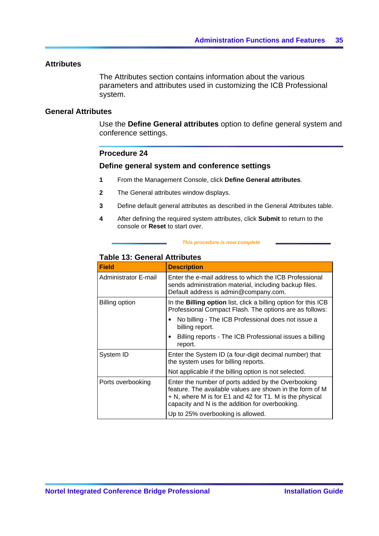# <span id="page-42-0"></span>**Attributes**

The Attributes section contains information about the various parameters and attributes used in customizing the ICB Professional system.

# **General Attributes**

Use the **Define General attributes** option to define general system and conference settings.

# **Procedure 24**

### **Define general system and conference settings**

- **1** From the Management Console, click **Define General attributes**.
- **2** The General attributes window displays.
- **3** Define default general attributes as described in the General Attributes table.
- **4** After defining the required system attributes, click **Submit** to return to the console or **Reset** to start over.

#### *This procedure is now complete*

# **Table 13: General Attributes**

| <b>Field</b>          | <b>Description</b>                                                                                                                                                                                                           |
|-----------------------|------------------------------------------------------------------------------------------------------------------------------------------------------------------------------------------------------------------------------|
| Administrator E-mail  | Enter the e-mail address to which the ICB Professional<br>sends administration material, including backup files.<br>Default address is admin@company.com.                                                                    |
| <b>Billing option</b> | In the <b>Billing option</b> list, click a billing option for this ICB<br>Professional Compact Flash. The options are as follows:                                                                                            |
|                       | No billing - The ICB Professional does not issue a<br>billing report.                                                                                                                                                        |
|                       | Billing reports - The ICB Professional issues a billing<br>report.                                                                                                                                                           |
| System ID             | Enter the System ID (a four-digit decimal number) that<br>the system uses for billing reports.                                                                                                                               |
|                       | Not applicable if the billing option is not selected.                                                                                                                                                                        |
| Ports overbooking     | Enter the number of ports added by the Overbooking<br>feature. The available values are shown in the form of M<br>+ N, where M is for E1 and 42 for T1. M is the physical<br>capacity and N is the addition for overbooking. |
|                       | Up to 25% overbooking is allowed.                                                                                                                                                                                            |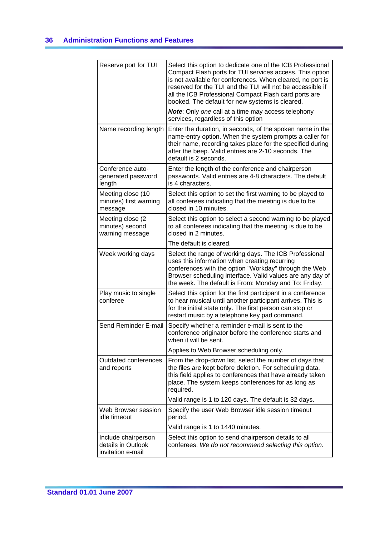| Reserve port for TUI                                           | Select this option to dedicate one of the ICB Professional<br>Compact Flash ports for TUI services access. This option<br>is not available for conferences. When cleared, no port is<br>reserved for the TUI and the TUI will not be accessible if<br>all the ICB Professional Compact Flash card ports are<br>booked. The default for new systems is cleared.<br>Note: Only one call at a time may access telephony |
|----------------------------------------------------------------|----------------------------------------------------------------------------------------------------------------------------------------------------------------------------------------------------------------------------------------------------------------------------------------------------------------------------------------------------------------------------------------------------------------------|
|                                                                | services, regardless of this option                                                                                                                                                                                                                                                                                                                                                                                  |
| Name recording length                                          | Enter the duration, in seconds, of the spoken name in the<br>name-entry option. When the system prompts a caller for<br>their name, recording takes place for the specified during<br>after the beep. Valid entries are 2-10 seconds. The<br>default is 2 seconds.                                                                                                                                                   |
| Conference auto-<br>generated password<br>length               | Enter the length of the conference and chairperson<br>passwords. Valid entries are 4-8 characters. The default<br>is 4 characters.                                                                                                                                                                                                                                                                                   |
| Meeting close (10<br>minutes) first warning<br>message         | Select this option to set the first warning to be played to<br>all conferees indicating that the meeting is due to be<br>closed in 10 minutes.                                                                                                                                                                                                                                                                       |
| Meeting close (2<br>minutes) second<br>warning message         | Select this option to select a second warning to be played<br>to all conferees indicating that the meeting is due to be<br>closed in 2 minutes.                                                                                                                                                                                                                                                                      |
|                                                                | The default is cleared.                                                                                                                                                                                                                                                                                                                                                                                              |
| Week working days                                              | Select the range of working days. The ICB Professional<br>uses this information when creating recurring<br>conferences with the option "Workday" through the Web<br>Browser scheduling interface. Valid values are any day of<br>the week. The default is From: Monday and To: Friday.                                                                                                                               |
| Play music to single<br>conferee                               | Select this option for the first participant in a conference<br>to hear musical until another participant arrives. This is<br>for the initial state only. The first person can stop or<br>restart music by a telephone key pad command.                                                                                                                                                                              |
| Send Reminder E-mail                                           | Specify whether a reminder e-mail is sent to the<br>conference originator before the conference starts and<br>when it will be sent.                                                                                                                                                                                                                                                                                  |
|                                                                | Applies to Web Browser scheduling only.                                                                                                                                                                                                                                                                                                                                                                              |
| Outdated conferences<br>and reports                            | From the drop-down list, select the number of days that<br>the files are kept before deletion. For scheduling data,<br>this field applies to conferences that have already taken<br>place. The system keeps conferences for as long as<br>required.                                                                                                                                                                  |
|                                                                | Valid range is 1 to 120 days. The default is 32 days.                                                                                                                                                                                                                                                                                                                                                                |
| Web Browser session<br>idle timeout                            | Specify the user Web Browser idle session timeout<br>period.                                                                                                                                                                                                                                                                                                                                                         |
|                                                                | Valid range is 1 to 1440 minutes.                                                                                                                                                                                                                                                                                                                                                                                    |
| Include chairperson<br>details in Outlook<br>invitation e-mail | Select this option to send chairperson details to all<br>conferees. We do not recommend selecting this option.                                                                                                                                                                                                                                                                                                       |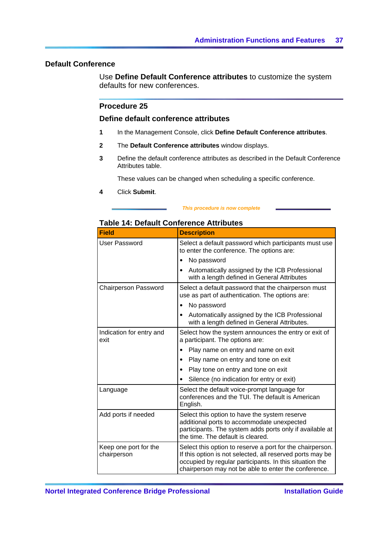# **Default Conference**

Use **Define Default Conference attributes** to customize the system defaults for new conferences.

# **Procedure 25**

## **Define default conference attributes**

- **1** In the Management Console, click **Define Default Conference attributes**.
- **2** The **Default Conference attributes** window displays.
- **3** Define the default conference attributes as described in the Default Conference Attributes table.

These values can be changed when scheduling a specific conference.

**4** Click **Submit**.

#### *This procedure is now complete*

# **Table 14: Default Conference Attributes**

| <b>Field</b>                         | <b>Description</b>                                                                                                                                                                                                                        |  |  |
|--------------------------------------|-------------------------------------------------------------------------------------------------------------------------------------------------------------------------------------------------------------------------------------------|--|--|
| <b>User Password</b>                 | Select a default password which participants must use<br>to enter the conference. The options are:                                                                                                                                        |  |  |
|                                      | No password                                                                                                                                                                                                                               |  |  |
|                                      | Automatically assigned by the ICB Professional<br>with a length defined in General Attributes                                                                                                                                             |  |  |
| <b>Chairperson Password</b>          | Select a default password that the chairperson must<br>use as part of authentication. The options are:                                                                                                                                    |  |  |
|                                      | No password<br>$\bullet$                                                                                                                                                                                                                  |  |  |
|                                      | Automatically assigned by the ICB Professional<br>$\bullet$<br>with a length defined in General Attributes.                                                                                                                               |  |  |
| Indication for entry and<br>exit     | Select how the system announces the entry or exit of<br>a participant. The options are:                                                                                                                                                   |  |  |
|                                      | Play name on entry and name on exit                                                                                                                                                                                                       |  |  |
|                                      | Play name on entry and tone on exit                                                                                                                                                                                                       |  |  |
|                                      | Play tone on entry and tone on exit                                                                                                                                                                                                       |  |  |
|                                      | Silence (no indication for entry or exit)                                                                                                                                                                                                 |  |  |
| Language                             | Select the default voice-prompt language for<br>conferences and the TUI. The default is American<br>English.                                                                                                                              |  |  |
| Add ports if needed                  | Select this option to have the system reserve<br>additional ports to accommodate unexpected<br>participants. The system adds ports only if available at<br>the time. The default is cleared.                                              |  |  |
| Keep one port for the<br>chairperson | Select this option to reserve a port for the chairperson.<br>If this option is not selected, all reserved ports may be<br>occupied by regular participants. In this situation the<br>chairperson may not be able to enter the conference. |  |  |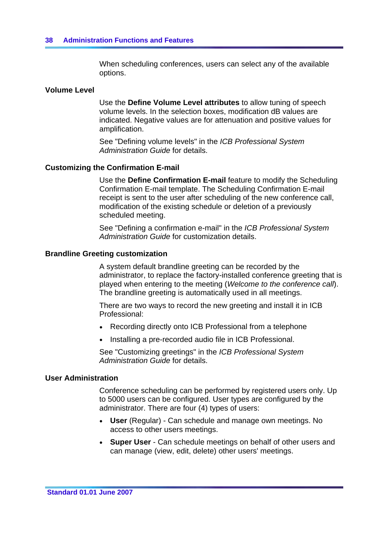When scheduling conferences, users can select any of the available options.

# **Volume Level**

Use the **Define Volume Level attributes** to allow tuning of speech volume levels. In the selection boxes, modification dB values are indicated. Negative values are for attenuation and positive values for amplification.

See "Defining volume levels" in the *ICB Professional System Administration Guide* for details.

# **Customizing the Confirmation E-mail**

Use the **Define Confirmation E-mail** feature to modify the Scheduling Confirmation E-mail template. The Scheduling Confirmation E-mail receipt is sent to the user after scheduling of the new conference call, modification of the existing schedule or deletion of a previously scheduled meeting.

See "Defining a confirmation e-mail" in the *ICB Professional System Administration Guide* for customization details.

# **Brandline Greeting customization**

A system default brandline greeting can be recorded by the administrator, to replace the factory-installed conference greeting that is played when entering to the meeting (*Welcome to the conference call*). The brandline greeting is automatically used in all meetings.

There are two ways to record the new greeting and install it in ICB Professional:

- Recording directly onto ICB Professional from a telephone
- Installing a pre-recorded audio file in ICB Professional.

See "Customizing greetings" in the *ICB Professional System Administration Guide* for details.

# **User Administration**

Conference scheduling can be performed by registered users only. Up to 5000 users can be configured. User types are configured by the administrator. There are four (4) types of users:

- User (Regular) Can schedule and manage own meetings. No access to other users meetings.
- **Super User** Can schedule meetings on behalf of other users and can manage (view, edit, delete) other users' meetings.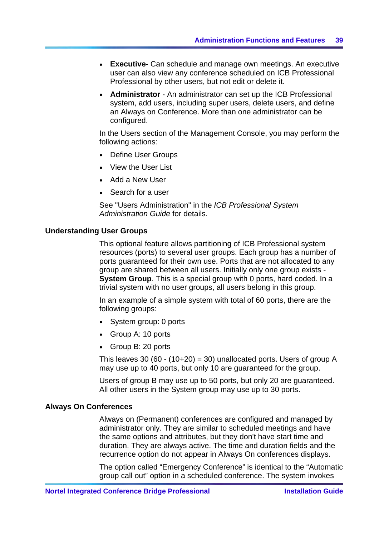- <span id="page-46-0"></span>**Executive-** Can schedule and manage own meetings. An executive user can also view any conference scheduled on ICB Professional Professional by other users, but not edit or delete it.
- **Administrator** An administrator can set up the ICB Professional system, add users, including super users, delete users, and define an Always on Conference. More than one administrator can be configured.

In the Users section of the Management Console, you may perform the following actions:

- Define User Groups
- View the User List
- Add a New User
- Search for a user

See "Users Administration" in the *ICB Professional System Administration Guide* for details.

#### **Understanding User Groups**

This optional feature allows partitioning of ICB Professional system resources (ports) to several user groups. Each group has a number of ports guaranteed for their own use. Ports that are not allocated to any group are shared between all users. Initially only one group exists - **System Group**. This is a special group with 0 ports, hard coded. In a trivial system with no user groups, all users belong in this group.

In an example of a simple system with total of 60 ports, there are the following groups:

- System group: 0 ports
- Group A: 10 ports
- Group B: 20 ports

This leaves 30 (60 - (10+20) = 30) unallocated ports. Users of group A may use up to 40 ports, but only 10 are guaranteed for the group.

Users of group B may use up to 50 ports, but only 20 are guaranteed. All other users in the System group may use up to 30 ports.

# **Always On Conferences**

Always on (Permanent) conferences are configured and managed by administrator only. They are similar to scheduled meetings and have the same options and attributes, but they don't have start time and duration. They are always active. The time and duration fields and the recurrence option do not appear in Always On conferences displays.

The option called "Emergency Conference" is identical to the "Automatic group call out" option in a scheduled conference. The system invokes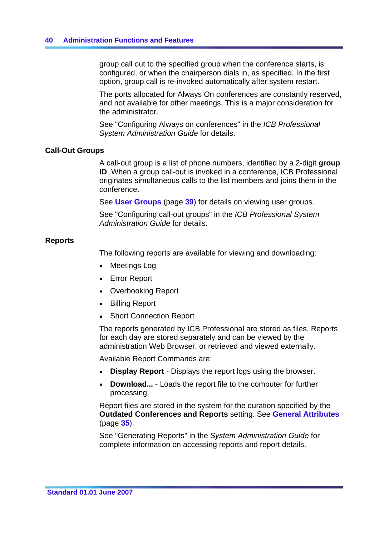group call out to the specified group when the conference starts, is configured, or when the chairperson dials in, as specified. In the first option, group call is re-invoked automatically after system restart.

The ports allocated for Always On conferences are constantly reserved, and not available for other meetings. This is a major consideration for the administrator.

See "Configuring Always on conferences" in the *ICB Professional System Administration Guide* for details.

# **Call-Out Groups**

A call-out group is a list of phone numbers, identified by a 2-digit **group ID**. When a group call-out is invoked in a conference, ICB Professional originates simultaneous calls to the list members and joins them in the conference.

See **User Groups** (page **[39](#page-46-0)**) for details on viewing user groups.

See "Configuring call-out groups" in the *ICB Professional System Administration Guide* for details.

# **Reports**

The following reports are available for viewing and downloading:

- Meetings Log
- Error Report
- Overbooking Report
- Billing Report
- **Short Connection Report**

The reports generated by ICB Professional are stored as files. Reports for each day are stored separately and can be viewed by the administration Web Browser, or retrieved and viewed externally.

Available Report Commands are:

- **Display Report** Displays the report logs using the browser.
- **Download...** Loads the report file to the computer for further processing.

Report files are stored in the system for the duration specified by the **Outdated Conferences and Reports** setting. See **General Attributes** (page **[35](#page-42-0)**).

See "Generating Reports" in the *System Administration Guide* for complete information on accessing reports and report details.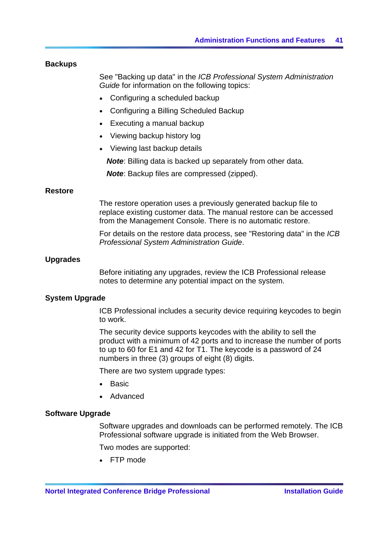# **Backups**

See "Backing up data" in the *ICB Professional System Administration Guide* for information on the following topics:

- Configuring a scheduled backup
- Configuring a Billing Scheduled Backup
- Executing a manual backup
- Viewing backup history log
- Viewing last backup details

*Note*: Billing data is backed up separately from other data.

*Note*: Backup files are compressed (zipped).

# **Restore**

The restore operation uses a previously generated backup file to replace existing customer data. The manual restore can be accessed from the Management Console. There is no automatic restore.

For details on the restore data process, see "Restoring data" in the *ICB Professional System Administration Guide*.

# **Upgrades**

Before initiating any upgrades, review the ICB Professional release notes to determine any potential impact on the system.

# **System Upgrade**

ICB Professional includes a security device requiring keycodes to begin to work.

The security device supports keycodes with the ability to sell the product with a minimum of 42 ports and to increase the number of ports to up to 60 for E1 and 42 for T1. The keycode is a password of 24 numbers in three (3) groups of eight (8) digits.

There are two system upgrade types:

- $\bullet$  Basic
- Advanced

# **Software Upgrade**

Software upgrades and downloads can be performed remotely. The ICB Professional software upgrade is initiated from the Web Browser.

Two modes are supported:

 $\bullet$  FTP mode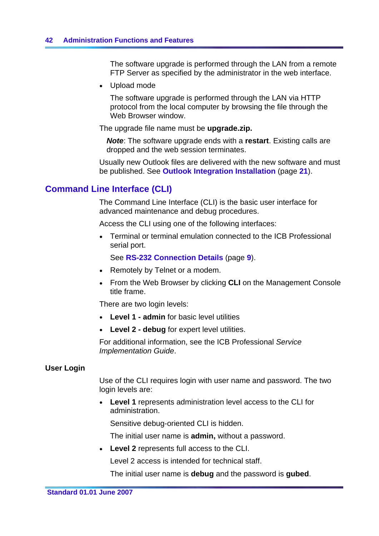<span id="page-49-0"></span>The software upgrade is performed through the LAN from a remote FTP Server as specified by the administrator in the web interface.

• Upload mode

The software upgrade is performed through the LAN via HTTP protocol from the local computer by browsing the file through the Web Browser window.

The upgrade file name must be **upgrade.zip.**

*Note*: The software upgrade ends with a **restart**. Existing calls are dropped and the web session terminates.

Usually new Outlook files are delivered with the new software and must be published. See **Outlook Integration Installation** (page **[21](#page-28-0)**).

# **Command Line Interface (CLI)**

The Command Line Interface (CLI) is the basic user interface for advanced maintenance and debug procedures.

Access the CLI using one of the following interfaces:

• Terminal or terminal emulation connected to the ICB Professional serial port.

See **RS-232 Connection Details** (page **[9](#page-16-0)**).

- Remotely by Telnet or a modem.
- From the Web Browser by clicking **CLI** on the Management Console title frame.

There are two login levels:

- Level 1 admin for basic level utilities
- Level 2 debug for expert level utilities.

For additional information, see the ICB Professional *Service Implementation Guide*.

#### **User Login**

Use of the CLI requires login with user name and password. The two login levels are:

• Level 1 represents administration level access to the CLI for administration.

Sensitive debug-oriented CLI is hidden.

The initial user name is **admin,** without a password.

y **Level 2** represents full access to the CLI.

Level 2 access is intended for technical staff.

The initial user name is **debug** and the password is **gubed**.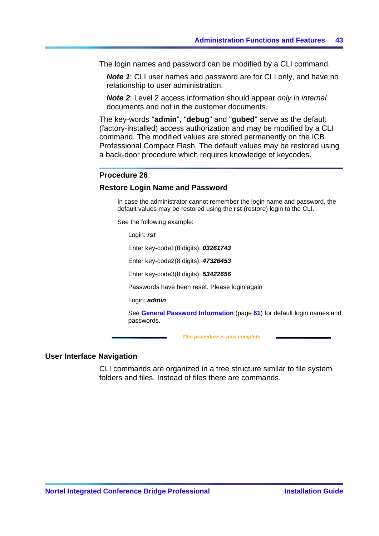The login names and password can be modified by a CLI command.

*Note 1:* CLI user names and password are for CLI only, and have no relationship to user administration.

*Note 2*: Level 2 access information should appear *only* in *internal* documents and not in the customer documents.

The key-words "**admin**", "**debug**" and "**gubed**" serve as the default (factory-installed) access authorization and may be modified by a CLI command. The modified values are stored permanently on the ICB Professional Compact Flash. The default values may be restored using a back-door procedure which requires knowledge of keycodes.

#### **Procedure 26**

#### **Restore Login Name and Password**

In case the administrator cannot remember the login name and password, the default values may be restored using the **rst** (restore) login to the CLI.

See the following example:

Login: *rst*

Enter key-code1(8 digits): *03261743*

Enter key-code2(8 digits): *47326453*

Enter key-code3(8 digits): *53422656*

Passwords have been reset. Please login again

Login: *admin* 

See **General Password Information** (page **[61](#page-68-0)**) for default login names and passwords.

 *This procedure is now complete* 

#### **User Interface Navigation**

CLI commands are organized in a tree structure similar to file system folders and files. Instead of files there are commands.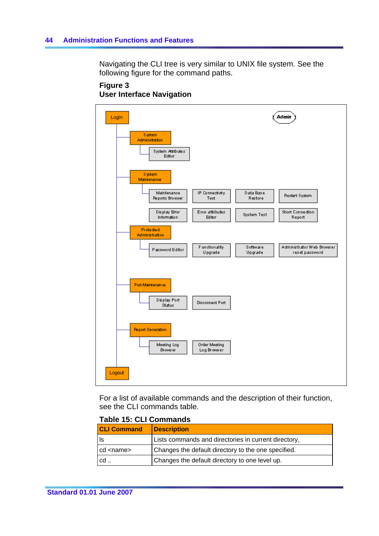Navigating the CLI tree is very similar to UNIX file system. See the following figure for the command paths.

# **Figure 3 User Interface Navigation**



For a list of available commands and the description of their function, see the CLI commands table.

# **Table 15: CLI Commands**

| <b>CLI Command</b> | <b>Description</b>                                   |
|--------------------|------------------------------------------------------|
| ls                 | Lists commands and directories in current directory, |
| cd <name></name>   | Changes the default directory to the one specified.  |
| cd                 | Changes the default directory to one level up.       |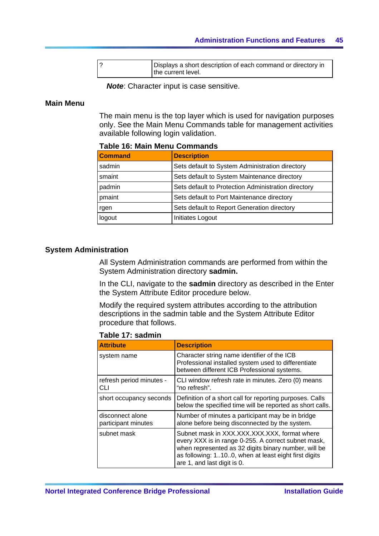| Displays a short description of each command or directory in |
|--------------------------------------------------------------|
| the current level.                                           |

*Note*: Character input is case sensitive.

# **Main Menu**

The main menu is the top layer which is used for navigation purposes only. See the Main Menu Commands table for management activities available following login validation.

# **Command Description** sadmin Sets default to System Administration directory smaint Sets default to System Maintenance directory padmin Sets default to Protection Administration directory pmaint Sets default to Port Maintenance directory rgen Sets default to Report Generation directory logout | Initiates Logout

# **Table 16: Main Menu Commands**

# **System Administration**

All System Administration commands are performed from within the System Administration directory **sadmin.**

In the CLI, navigate to the **sadmin** directory as described in the Enter the System Attribute Editor procedure below.

Modify the required system attributes according to the attribution descriptions in the sadmin table and the System Attribute Editor procedure that follows.

**Table 17: sadmin** 

| <b>Attribute</b>                        | <b>Description</b>                                                                                                                                                                                                                                 |
|-----------------------------------------|----------------------------------------------------------------------------------------------------------------------------------------------------------------------------------------------------------------------------------------------------|
| system name                             | Character string name identifier of the ICB<br>Professional installed system used to differentiate<br>between different ICB Professional systems.                                                                                                  |
| refresh period minutes -<br>CLI         | CLI window refresh rate in minutes. Zero (0) means<br>"no refresh".                                                                                                                                                                                |
| short occupancy seconds                 | Definition of a short call for reporting purposes. Calls<br>below the specified time will be reported as short calls.                                                                                                                              |
| disconnect alone<br>participant minutes | Number of minutes a participant may be in bridge<br>alone before being disconnected by the system.                                                                                                                                                 |
| subnet mask                             | Subnet mask in XXX.XXX.XXX.XXX, format where<br>every XXX is in range 0-255. A correct subnet mask,<br>when represented as 32 digits binary number, will be<br>as following: 1100, when at least eight first digits<br>are 1, and last digit is 0. |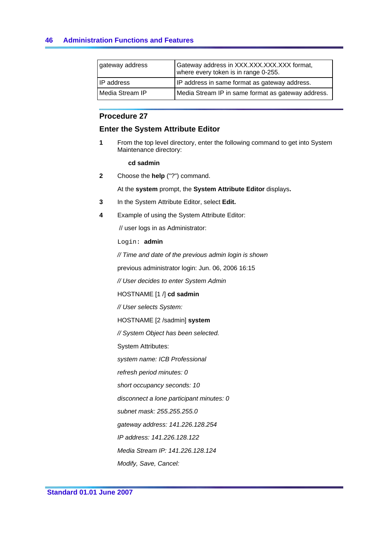| gateway address   | Gateway address in XXX.XXX.XXX.XXX format,<br>where every token is in range 0-255. |
|-------------------|------------------------------------------------------------------------------------|
| <b>IP</b> address | IP address in same format as gateway address.                                      |
| Media Stream IP   | Media Stream IP in same format as gateway address.                                 |

# **Procedure 27**

# **Enter the System Attribute Editor**

**1** From the top level directory, enter the following command to get into System Maintenance directory:

**cd sadmin**

**2** Choose the **help** ("?") command.

At the **system** prompt, the **System Attribute Editor** displays**.**

- **3** In the System Attribute Editor, select **Edit.**
- **4** Example of using the System Attribute Editor:

// user logs in as Administrator:

Login: **admin**

*// Time and date of the previous admin login is shown*

previous administrator login: Jun. 06, 2006 16:15

*// User decides to enter System Admin*

HOSTNAME [1 /] **cd sadmin**

*// User selects System:*

HOSTNAME [2 /sadmin] **system**

*// System Object has been selected.*

System Attributes:

*system name: ICB Professional*

*refresh period minutes: 0*

*short occupancy seconds: 10*

*disconnect a lone participant minutes: 0*

*subnet mask: 255.255.255.0*

*gateway address: 141.226.128.254*

*IP address: 141.226.128.122*

*Media Stream IP: 141.226.128.124*

*Modify, Save, Cancel:*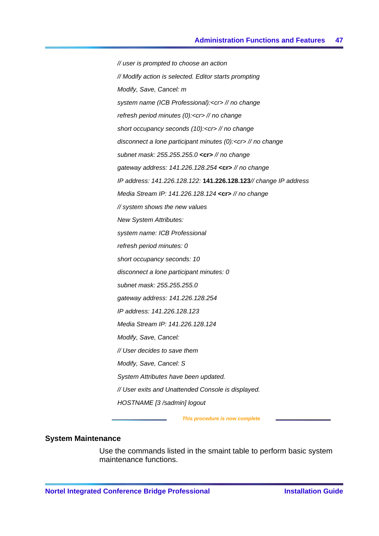*// user is prompted to choose an action // Modify action is selected. Editor starts prompting Modify, Save, Cancel: m system name (ICB Professional):<cr> // no change refresh period minutes (0):<cr> // no change short occupancy seconds (10):<cr> // no change disconnect a lone participant minutes (0):<cr> // no change subnet mask: 255.255.255.0* **<cr>** *// no change gateway address: 141.226.128.254* **<cr>** *// no change IP address: 141.226.128.122:* **141.226.128.123***// change IP address Media Stream IP: 141.226.128.124* **<cr>** *// no change // system shows the new values New System Attributes: system name: ICB Professional refresh period minutes: 0 short occupancy seconds: 10 disconnect a lone participant minutes: 0 subnet mask: 255.255.255.0 gateway address: 141.226.128.254 IP address: 141.226.128.123 Media Stream IP: 141.226.128.124 Modify, Save, Cancel: // User decides to save them Modify, Save, Cancel: S System Attributes have been updated. // User exits and Unattended Console is displayed. HOSTNAME [3 /sadmin] logout*

 *This procedure is now complete* 

# **System Maintenance**

Use the commands listed in the smaint table to perform basic system maintenance functions.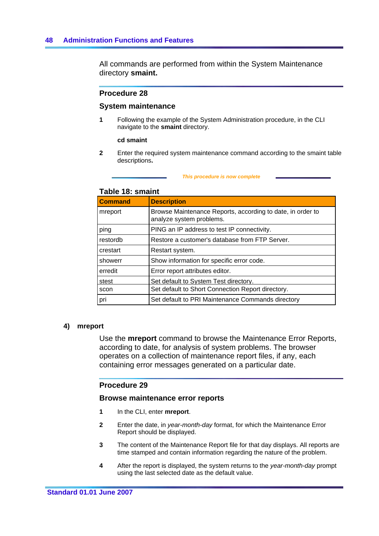All commands are performed from within the System Maintenance directory **smaint.**

#### **Procedure 28**

#### **System maintenance**

**1** Following the example of the System Administration procedure, in the CLI navigate to the **smaint** directory.

#### **cd smaint**

**2** Enter the required system maintenance command according to the smaint table descriptions**.**

#### *This procedure is now complete*

#### **Table 18: smaint**

| <b>Command</b> | <b>Description</b>                                                                     |
|----------------|----------------------------------------------------------------------------------------|
| mreport        | Browse Maintenance Reports, according to date, in order to<br>analyze system problems. |
| ping           | PING an IP address to test IP connectivity.                                            |
| restordb       | Restore a customer's database from FTP Server.                                         |
| crestart       | Restart system.                                                                        |
| showerr        | Show information for specific error code.                                              |
| erredit        | Error report attributes editor.                                                        |
| stest          | Set default to System Test directory.                                                  |
| scon           | Set default to Short Connection Report directory.                                      |
| pri            | Set default to PRI Maintenance Commands directory                                      |

#### **4) mreport**

Use the **mreport** command to browse the Maintenance Error Reports, according to date, for analysis of system problems. The browser operates on a collection of maintenance report files, if any, each containing error messages generated on a particular date.

#### **Procedure 29**

#### **Browse maintenance error reports**

- **1** In the CLI, enter **mreport**.
- **2** Enter the date, in *year-month-day* format, for which the Maintenance Error Report should be displayed.
- **3** The content of the Maintenance Report file for that day displays. All reports are time stamped and contain information regarding the nature of the problem.
- **4** After the report is displayed, the system returns to the *year-month-day* prompt using the last selected date as the default value.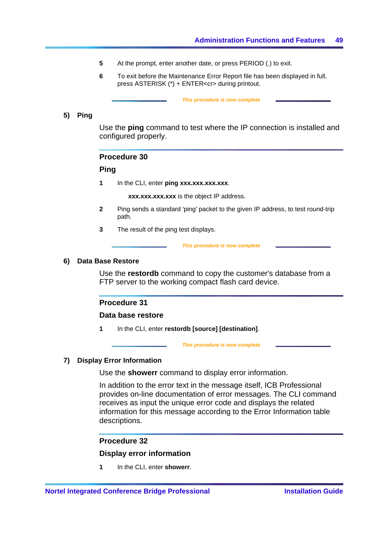- **5** At the prompt, enter another date, or press PERIOD (.) to exit.
- **6** To exit before the Maintenance Error Report file has been displayed in full, press ASTERISK (\*) + ENTER<cr> during printout.

 *This procedure is now complete* 

#### **5) Ping**

Use the **ping** command to test where the IP connection is installed and configured properly.

### **Procedure 30**

### **Ping**

**1** In the CLI, enter ping xxx.xxx.xxx.xxx.

**xxx.xxx.xxx.xxx** is the object IP address.

- **2** Ping sends a standard 'ping' packet to the given IP address, to test round-trip path.
- **3** The result of the ping test displays.

 *This procedure is now complete* 

#### **6) Data Base Restore**

Use the **restordb** command to copy the customer's database from a FTP server to the working compact flash card device.

### **Procedure 31**

#### **Data base restore**

**1** In the CLI, enter **restordb [source] [destination]**.

 *This procedure is now complete* 

# **7) Display Error Information**

Use the **showerr** command to display error information.

In addition to the error text in the message itself, ICB Professional provides on-line documentation of error messages. The CLI command receives as input the unique error code and displays the related information for this message according to the Error Information table descriptions.

#### **Procedure 32**

#### **Display error information**

**1** In the CLI, enter **showerr**.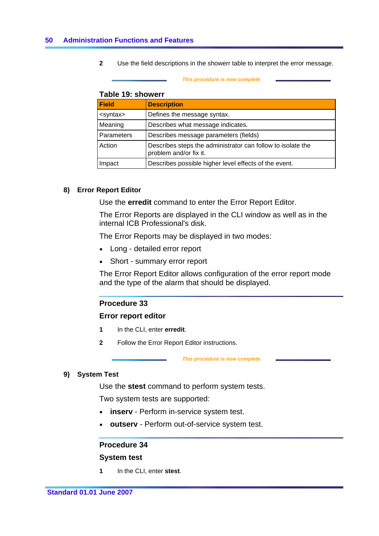**2** Use the field descriptions in the showerr table to interpret the error message.

#### *This procedure is now complete*

# **Table 19: showerr**

| <b>Field</b>      | <b>Description</b>                                                                    |
|-------------------|---------------------------------------------------------------------------------------|
| <syntax></syntax> | Defines the message syntax.                                                           |
| Meaning           | Describes what message indicates.                                                     |
| <b>Parameters</b> | Describes message parameters (fields)                                                 |
| Action            | Describes steps the administrator can follow to isolate the<br>problem and/or fix it. |
| Impact            | Describes possible higher level effects of the event.                                 |

#### **8) Error Report Editor**

Use the **erredit** command to enter the Error Report Editor.

The Error Reports are displayed in the CLI window as well as in the internal ICB Professional's disk.

The Error Reports may be displayed in two modes:

- Long detailed error report
- Short summary error report

The Error Report Editor allows configuration of the error report mode and the type of the alarm that should be displayed.

# **Procedure 33**

#### **Error report editor**

- **1** In the CLI, enter **erredit**.
- **2** Follow the Error Report Editor instructions.

 *This procedure is now complete* 

### **9) System Test**

Use the **stest** command to perform system tests.

Two system tests are supported:

- **inserv** Perform in-service system test.
- **outserv** Perform out-of-service system test.

# **Procedure 34**

#### **System test**

**1** In the CLI, enter **stest**.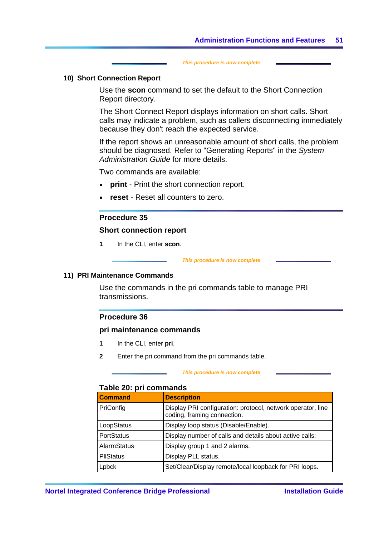*This procedure is now complete* 

### **10) Short Connection Report**

Use the **scon** command to set the default to the Short Connection Report directory.

The Short Connect Report displays information on short calls. Short calls may indicate a problem, such as callers disconnecting immediately because they don't reach the expected service.

If the report shows an unreasonable amount of short calls, the problem should be diagnosed. Refer to "Generating Reports" in the *System Administration Guide* for more details.

Two commands are available:

- **print** Print the short connection report.
- **reset** Reset all counters to zero.

# **Procedure 35**

### **Short connection report**

**1** In the CLI, enter **scon**.

#### *This procedure is now complete*

#### **11) PRI Maintenance Commands**

Use the commands in the pri commands table to manage PRI transmissions.

# **Procedure 36**

### **pri maintenance commands**

- **1** In the CLI, enter **pri**.
- **2** Enter the pri command from the pri commands table.

#### *This procedure is now complete*

# **Table 20: pri commands**

| <b>Command</b>    | <b>Description</b>                                                                         |
|-------------------|--------------------------------------------------------------------------------------------|
| PriConfig         | Display PRI configuration: protocol, network operator, line<br>coding, framing connection. |
| LoopStatus        | Display loop status (Disable/Enable).                                                      |
| <b>PortStatus</b> | Display number of calls and details about active calls;                                    |
| AlarmStatus       | Display group 1 and 2 alarms.                                                              |
| <b>PIIStatus</b>  | Display PLL status.                                                                        |
| Lpbck             | Set/Clear/Display remote/local loopback for PRI loops.                                     |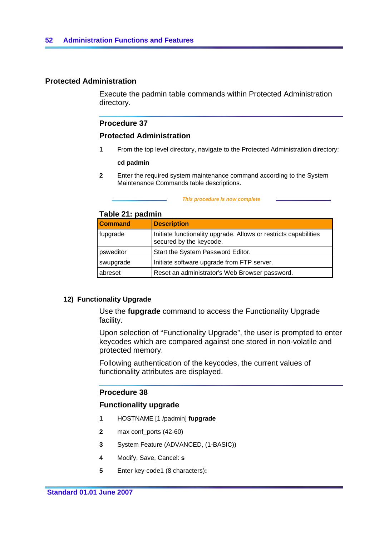# **Protected Administration**

Execute the padmin table commands within Protected Administration directory.

### **Procedure 37**

# **Protected Administration**

**1** From the top level directory, navigate to the Protected Administration directory:

#### **cd padmin**

**2** Enter the required system maintenance command according to the System Maintenance Commands table descriptions.

#### *This procedure is now complete*

# **Table 21: padmin**

| <b>Command</b> | <b>Description</b>                                                                          |
|----------------|---------------------------------------------------------------------------------------------|
| fupgrade       | Initiate functionality upgrade. Allows or restricts capabilities<br>secured by the keycode. |
| psweditor      | Start the System Password Editor.                                                           |
| swupgrade      | Initiate software upgrade from FTP server.                                                  |
| abreset        | Reset an administrator's Web Browser password.                                              |

# **12) Functionality Upgrade**

Use the **fupgrade** command to access the Functionality Upgrade facility.

Upon selection of "Functionality Upgrade", the user is prompted to enter keycodes which are compared against one stored in non-volatile and protected memory.

Following authentication of the keycodes, the current values of functionality attributes are displayed.

# **Procedure 38**

# **Functionality upgrade**

- **1** HOSTNAME [1 /padmin] **fupgrade**
- **2** max conf\_ports (42-60)
- **3** System Feature (ADVANCED, (1-BASIC))
- **4** Modify, Save, Cancel: **s**
- **5** Enter key-code1 (8 characters)**:**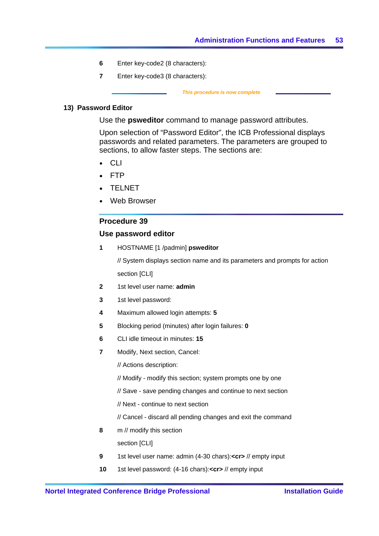- <span id="page-60-0"></span>**6** Enter key-code2 (8 characters):
- **7** Enter key-code3 (8 characters):

 *This procedure is now complete* 

# **13) Password Editor**

Use the **psweditor** command to manage password attributes.

Upon selection of "Password Editor", the ICB Professional displays passwords and related parameters. The parameters are grouped to sections, to allow faster steps. The sections are:

- **CLI**
- $\bullet$  FTP
- **TELNET**
- Web Browser

#### **Procedure 39**

### **Use password editor**

**1** HOSTNAME [1 /padmin] **psweditor**

// System displays section name and its parameters and prompts for action section [CLI]

- **2** 1st level user name: **admin**
- **3** 1st level password:
- **4** Maximum allowed login attempts: **5**
- **5** Blocking period (minutes) after login failures: **0**
- **6** CLI idle timeout in minutes: **15**
- **7** Modify, Next section, Cancel:
	- // Actions description:
	- // Modify modify this section; system prompts one by one
	- // Save save pending changes and continue to next section
	- // Next continue to next section
	- // Cancel discard all pending changes and exit the command
- **8** m // modify this section

section [CLI]

- **9** 1st level user name: admin (4-30 chars):**<cr>** // empty input
- **10** 1st level password: (4-16 chars):**<cr>** // empty input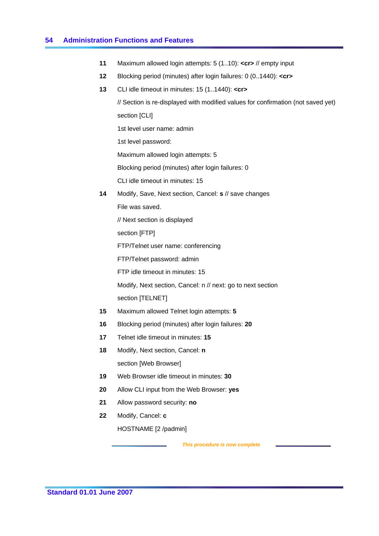### **54 Administration Functions and Features**

- **11** Maximum allowed login attempts: 5 (1..10): **<cr>** // empty input
- **12** Blocking period (minutes) after login failures: 0 (0..1440): **<cr>**
- **13** CLI idle timeout in minutes: 15 (1..1440): **<cr>**

// Section is re-displayed with modified values for confirmation (not saved yet) section [CLI] 1st level user name: admin 1st level password: Maximum allowed login attempts: 5 Blocking period (minutes) after login failures: 0 CLI idle timeout in minutes: 15 **14** Modify, Save, Next section, Cancel: **s** // save changes

File was saved.

// Next section is displayed

section [FTP]

FTP/Telnet user name: conferencing

FTP/Telnet password: admin

FTP idle timeout in minutes: 15

Modify, Next section, Cancel: n // next: go to next section section [TELNET]

- **15** Maximum allowed Telnet login attempts: **5**
- **16** Blocking period (minutes) after login failures: **20**
- **17** Telnet idle timeout in minutes: **15**
- **18** Modify, Next section, Cancel: **n** section [Web Browser]
- **19** Web Browser idle timeout in minutes: **30**
- **20** Allow CLI input from the Web Browser: **yes**
- **21** Allow password security: **no**
- **22** Modify, Cancel: **c**

HOSTNAME [2 /padmin]

 *This procedure is now complete*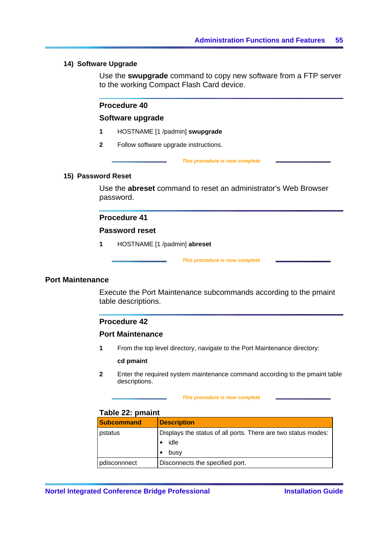### **14) Software Upgrade**

Use the **swupgrade** command to copy new software from a FTP server to the working Compact Flash Card device.

# **Procedure 40**

### **Software upgrade**

- **1** HOSTNAME [1 /padmin] **swupgrade**
- **2** Follow software upgrade instructions.

#### *This procedure is now complete*

### **15) Password Reset**

Use the **abreset** command to reset an administrator's Web Browser password.

# **Procedure 41**

### **Password reset**

**1** HOSTNAME [1 /padmin] **abreset**

 *This procedure is now complete* 

### **Port Maintenance**

Execute the Port Maintenance subcommands according to the pmaint table descriptions.

# **Procedure 42**

#### **Port Maintenance**

**1** From the top level directory, navigate to the Port Maintenance directory:

#### **cd pmaint**

**2** Enter the required system maintenance command according to the pmaint table descriptions.

#### *This procedure is now complete*

#### **Table 22: pmaint**

| <b>Subcommand</b> | <b>Description</b>                                                    |
|-------------------|-----------------------------------------------------------------------|
| pstatus           | Displays the status of all ports. There are two status modes:<br>idle |
|                   | busy                                                                  |
| pdisconnnect      | Disconnects the specified port.                                       |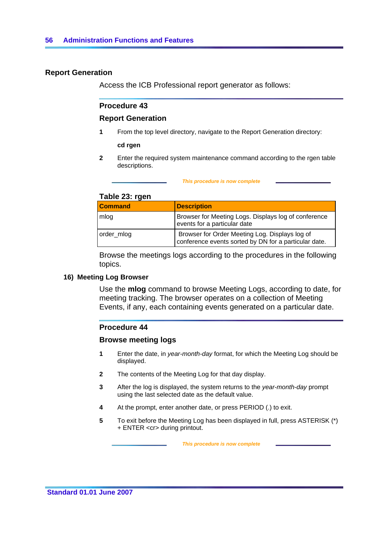# **Report Generation**

Access the ICB Professional report generator as follows:

# **Procedure 43**

### **Report Generation**

**1** From the top level directory, navigate to the Report Generation directory:

**cd rgen**

**2** Enter the required system maintenance command according to the rgen table descriptions.

|  |  | This procedure is now complete |  |
|--|--|--------------------------------|--|
|  |  |                                |  |

# **Table 23: rgen**

| <b>Command</b> | <b>Description</b>                                                                                      |
|----------------|---------------------------------------------------------------------------------------------------------|
| mlog           | Browser for Meeting Logs. Displays log of conference<br>events for a particular date                    |
| order_mlog     | Browser for Order Meeting Log. Displays log of<br>conference events sorted by DN for a particular date. |

Browse the meetings logs according to the procedures in the following topics.

#### **16) Meeting Log Browser**

Use the **mlog** command to browse Meeting Logs, according to date, for meeting tracking. The browser operates on a collection of Meeting Events, if any, each containing events generated on a particular date.

# **Procedure 44**

#### **Browse meeting logs**

- **1** Enter the date, in *year-month-day* format, for which the Meeting Log should be displayed.
- **2** The contents of the Meeting Log for that day display.
- **3** After the log is displayed, the system returns to the *year-month-day* prompt using the last selected date as the default value.
- **4** At the prompt, enter another date, or press PERIOD (.) to exit.
- **5** To exit before the Meeting Log has been displayed in full, press ASTERISK (\*) + ENTER <cr> during printout.

 *This procedure is now complete*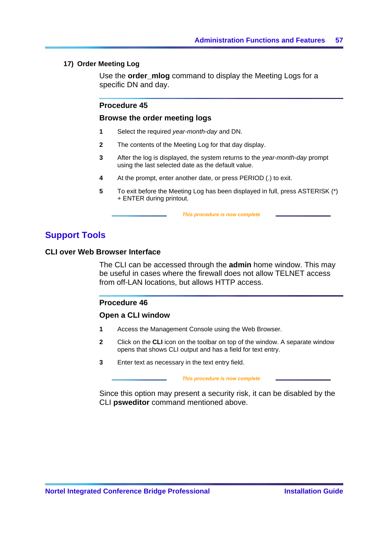# **17) Order Meeting Log**

Use the **order** mlog command to display the Meeting Logs for a specific DN and day.

# **Procedure 45**

#### **Browse the order meeting logs**

- **1** Select the required *year-month-day* and DN.
- **2** The contents of the Meeting Log for that day display.
- **3** After the log is displayed, the system returns to the *year-month-day* prompt using the last selected date as the default value.
- **4** At the prompt, enter another date, or press PERIOD (.) to exit.
- **5** To exit before the Meeting Log has been displayed in full, press ASTERISK (\*) + ENTER during printout.

 *This procedure is now complete* 

# **Support Tools**

#### **CLI over Web Browser Interface**

The CLI can be accessed through the **admin** home window. This may be useful in cases where the firewall does not allow TELNET access from off-LAN locations, but allows HTTP access.

### **Procedure 46**

#### **Open a CLI window**

- **1** Access the Management Console using the Web Browser.
- **2** Click on the **CLI** icon on the toolbar on top of the window. A separate window opens that shows CLI output and has a field for text entry.
- **3** Enter text as necessary in the text entry field.

#### *This procedure is now complete*

Since this option may present a security risk, it can be disabled by the CLI **psweditor** command mentioned above.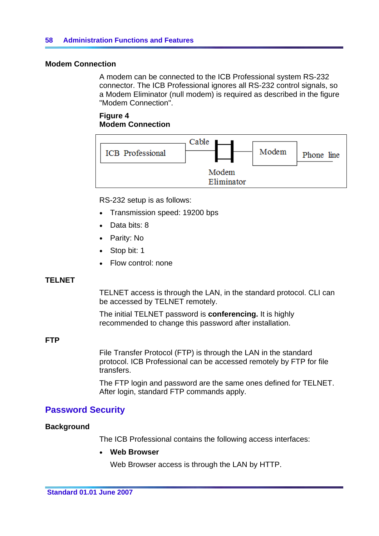# **Modem Connection**

A modem can be connected to the ICB Professional system RS-232 connector. The ICB Professional ignores all RS-232 control signals, so a Modem Eliminator (null modem) is required as described in the figure "Modem Connection".

# **Figure 4 Modem Connection**



RS-232 setup is as follows:

- Transmission speed: 19200 bps
- Data bits: 8
- Parity: No
- Stop bit: 1
- Flow control: none

# **TELNET**

TELNET access is through the LAN, in the standard protocol. CLI can be accessed by TELNET remotely.

The initial TELNET password is **conferencing.** It is highly recommended to change this password after installation.

# **FTP**

File Transfer Protocol (FTP) is through the LAN in the standard protocol. ICB Professional can be accessed remotely by FTP for file transfers.

The FTP login and password are the same ones defined for TELNET. After login, standard FTP commands apply.

# **Password Security**

# **Background**

The ICB Professional contains the following access interfaces:

# y **Web Browser**

Web Browser access is through the LAN by HTTP.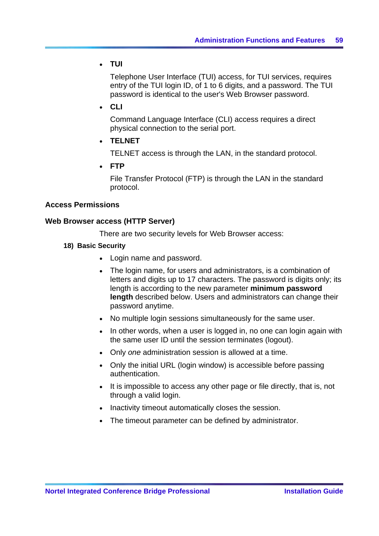y **TUI**

Telephone User Interface (TUI) access, for TUI services, requires entry of the TUI login ID, of 1 to 6 digits, and a password. The TUI password is identical to the user's Web Browser password.

y **CLI** 

Command Language Interface (CLI) access requires a direct physical connection to the serial port.

y **TELNET**

TELNET access is through the LAN, in the standard protocol.

y **FTP**

File Transfer Protocol (FTP) is through the LAN in the standard protocol.

# **Access Permissions**

# **Web Browser access (HTTP Server)**

There are two security levels for Web Browser access:

- **18) Basic Security** 
	- Login name and password.
	- The login name, for users and administrators, is a combination of letters and digits up to 17 characters. The password is digits only; its length is according to the new parameter **minimum password length** described below. Users and administrators can change their password anytime.
	- No multiple login sessions simultaneously for the same user.
	- In other words, when a user is logged in, no one can login again with the same user ID until the session terminates (logout).
	- Only *one* administration session is allowed at a time.
	- Only the initial URL (login window) is accessible before passing authentication.
	- It is impossible to access any other page or file directly, that is, not through a valid login.
	- Inactivity timeout automatically closes the session.
	- The timeout parameter can be defined by administrator.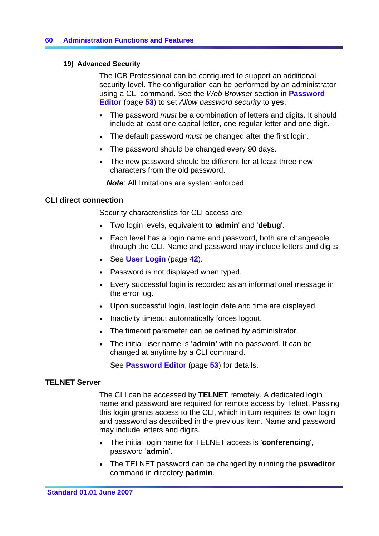# **19) Advanced Security**

The ICB Professional can be configured to support an additional security level. The configuration can be performed by an administrator using a CLI command. See the *Web Browser* section in **Password Editor** (page **[53](#page-60-0)**) to set *Allow password security* to **yes**.

- The password *must* be a combination of letters and digits. It should include at least one capital letter, one regular letter and one digit.
- The default password *must* be changed after the first login.
- The password should be changed every 90 days.
- The new password should be different for at least three new characters from the old password.

*Note*: All limitations are system enforced.

# **CLI direct connection**

Security characteristics for CLI access are:

- y Two login levels, equivalent to '**admin**' and '**debug**'.
- Each level has a login name and password, both are changeable through the CLI. Name and password may include letters and digits.
- See **User Login** (page [42](#page-49-0)).
- Password is not displayed when typed.
- Every successful login is recorded as an informational message in the error log.
- Upon successful login, last login date and time are displayed.
- Inactivity timeout automatically forces logout.
- The timeout parameter can be defined by administrator.
- The initial user name is **'admin'** with no password. It can be changed at anytime by a CLI command.

See **Password Editor** (page **[53](#page-60-0)**) for details.

# **TELNET Server**

The CLI can be accessed by **TELNET** remotely. A dedicated login name and password are required for remote access by Telnet. Passing this login grants access to the CLI, which in turn requires its own login and password as described in the previous item. Name and password may include letters and digits.

- y The initial login name for TELNET access is '**conferencing**', password '**admin**'.
- The TELNET password can be changed by running the **psweditor** command in directory **padmin**.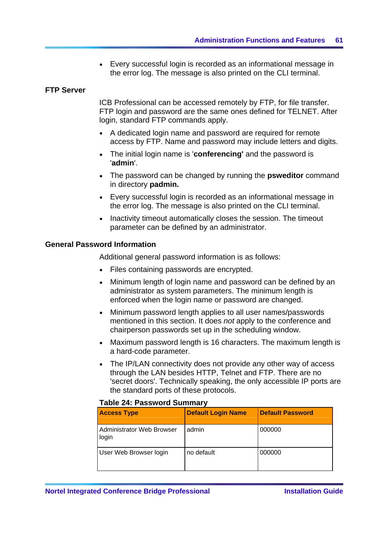Every successful login is recorded as an informational message in the error log. The message is also printed on the CLI terminal.

### <span id="page-68-0"></span>**FTP Server**

ICB Professional can be accessed remotely by FTP, for file transfer. FTP login and password are the same ones defined for TELNET. After login, standard FTP commands apply.

- A dedicated login name and password are required for remote access by FTP. Name and password may include letters and digits.
- The initial login name is 'conferencing' and the password is '**admin**'.
- The password can be changed by running the **psweditor** command in directory **padmin.**
- Every successful login is recorded as an informational message in the error log. The message is also printed on the CLI terminal.
- Inactivity timeout automatically closes the session. The timeout parameter can be defined by an administrator.

# **General Password Information**

Additional general password information is as follows:

- Files containing passwords are encrypted.
- Minimum length of login name and password can be defined by an administrator as system parameters. The minimum length is enforced when the login name or password are changed.
- Minimum password length applies to all user names/passwords mentioned in this section. It does *not* apply to the conference and chairperson passwords set up in the scheduling window.
- Maximum password length is 16 characters. The maximum length is a hard-code parameter.
- The IP/LAN connectivity does not provide any other way of access through the LAN besides HTTP, Telnet and FTP. There are no 'secret doors'. Technically speaking, the only accessible IP ports are the standard ports of these protocols.

| Taple 24: Password Summary                |                           |                         |  |  |
|-------------------------------------------|---------------------------|-------------------------|--|--|
| <b>Access Type</b>                        | <b>Default Login Name</b> | <b>Default Password</b> |  |  |
| <b>Administrator Web Browser</b><br>login | admin                     | 000000                  |  |  |
| User Web Browser login                    | no default                | 000000                  |  |  |

# **Table 24: Password Summary**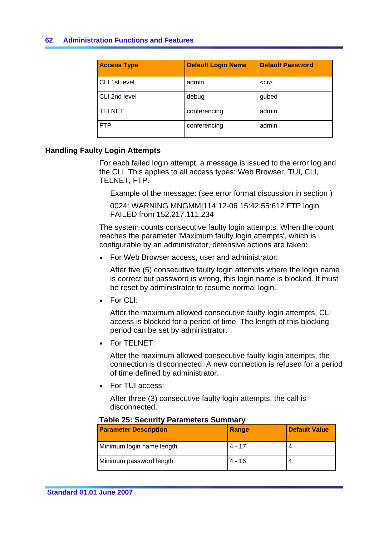# **62 Administration Functions and Features**

| <b>Access Type</b> | <b>Default Login Name</b> | <b>Default Password</b> |
|--------------------|---------------------------|-------------------------|
| CLI 1st level      | admin                     | $<$ Cr $>$              |
| CLI 2nd level      | debug                     | gubed                   |
| <b>TELNET</b>      | conferencing              | admin                   |
| <b>FTP</b>         | conferencing              | admin                   |

# **Handling Faulty Login Attempts**

For each failed login attempt, a message is issued to the error log and the CLI. This applies to all access types: Web Browser, TUI, CLI, TELNET, FTP.

Example of the message: (see error format discussion in section )

0024: WARNING MNGMMI114 12-06 15:42:55:612 FTP login FAILED from 152.217.111.234

The system counts consecutive faulty login attempts. When the count reaches the parameter 'Maximum faulty login attempts', which is configurable by an administrator, defensive actions are taken:

• For Web Browser access, user and administrator:

After five (5) consecutive faulty login attempts where the login name is correct but password is wrong, this login name is blocked. It must be reset by administrator to resume normal login.

 $\bullet$  For CLI:

After the maximum allowed consecutive faulty login attempts, CLI access is blocked for a period of time. The length of this blocking period can be set by administrator.

• For TELNET:

After the maximum allowed consecutive faulty login attempts, the connection is disconnected. A new connection is refused for a period of time defined by administrator.

• For TUI access:

After three (3) consecutive faulty login attempts, the call is disconnected.

| <b>Parameter Description</b> | Range    | <b>Default Value</b> |  |  |
|------------------------------|----------|----------------------|--|--|
| Minimum login name length    | 4 - 17   |                      |  |  |
| Minimum password length      | $4 - 16$ |                      |  |  |

# **Table 25: Security Parameters Summary**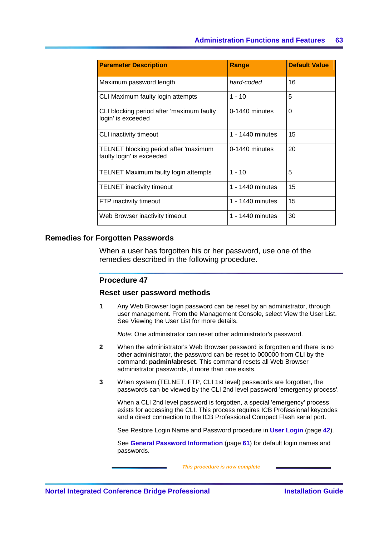| <b>Parameter Description</b>                                       | Range            | <b>Default Value</b> |
|--------------------------------------------------------------------|------------------|----------------------|
| Maximum password length                                            | hard-coded       | 16                   |
| CLI Maximum faulty login attempts                                  | 1 - 10           | 5                    |
| CLI blocking period after 'maximum faulty<br>login' is exceeded    | 0-1440 minutes   | $\Omega$             |
| CLI inactivity timeout                                             | 1 - 1440 minutes | 15                   |
| TELNET blocking period after 'maximum<br>faulty login' is exceeded | 0-1440 minutes   | 20                   |
| TELNET Maximum faulty login attempts                               | 1 - 10           | 5                    |
| <b>TELNET</b> inactivity timeout                                   | 1 - 1440 minutes | 15                   |
| FTP inactivity timeout                                             | 1 - 1440 minutes | 15                   |
| Web Browser inactivity timeout                                     | 1 - 1440 minutes | 30                   |

### **Remedies for Forgotten Passwords**

When a user has forgotten his or her password, use one of the remedies described in the following procedure.

#### **Procedure 47**

#### **Reset user password methods**

**1** Any Web Browser login password can be reset by an administrator, through user management. From the Management Console, select View the User List. See Viewing the User List for more details.

*Note:* One administrator can reset other administrator's password.

- **2** When the administrator's Web Browser password is forgotten and there is no other administrator, the password can be reset to 000000 from CLI by the command: **padmin/abreset**. This command resets all Web Browser administrator passwords, if more than one exists.
- **3** When system (TELNET. FTP, CLI 1st level) passwords are forgotten, the passwords can be viewed by the CLI 2nd level password 'emergency process'.

When a CLI 2nd level password is forgotten, a special 'emergency' process exists for accessing the CLI. This process requires ICB Professional keycodes and a direct connection to the ICB Professional Compact Flash serial port.

See Restore Login Name and Password procedure in **User Login** (page **[42](#page-49-0)**).

See **General Password Information** (page **[61](#page-68-0)**) for default login names and passwords.

 *This procedure is now complete*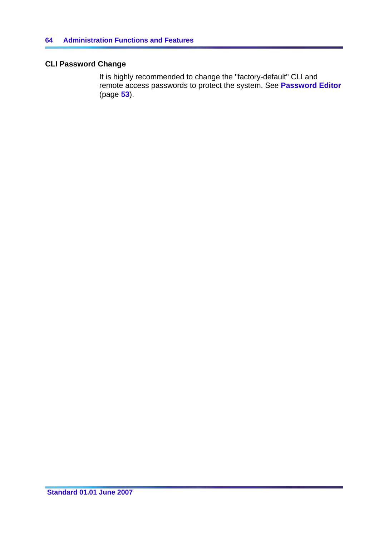# **CLI Password Change**

It is highly recommended to change the "factory-default" CLI and remote access passwords to protect the system. See **Password Editor** (page **[53](#page-60-0)**).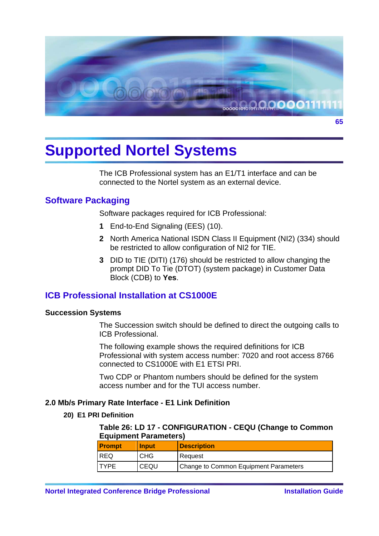

The ICB Professional system has an E1/T1 interface and can be connected to the Nortel system as an external device.

## **Software Packaging**

Software packages required for ICB Professional:

- **1** End-to-End Signaling (EES) (10).
- **2** North America National ISDN Class II Equipment (NI2) (334) should be restricted to allow configuration of NI2 for TIE.
- **3** DID to TIE (DITI) (176) should be restricted to allow changing the prompt DID To Tie (DTOT) (system package) in Customer Data Block (CDB) to **Yes**.

## **ICB Professional Installation at CS1000E**

## **Succession Systems**

The Succession switch should be defined to direct the outgoing calls to ICB Professional.

The following example shows the required definitions for ICB Professional with system access number: 7020 and root access 8766 connected to CS1000E with E1 ETSI PRI.

Two CDP or Phantom numbers should be defined for the system access number and for the TUI access number.

## **2.0 Mb/s Primary Rate Interface - E1 Link Definition**

## **20) E1 PRI Definition**

**Table 26: LD 17 - CONFIGURATION - CEQU (Change to Common Equipment Parameters)** 

| <b>Prompt</b> | <b>Input</b> | <b>Description</b>                    |
|---------------|--------------|---------------------------------------|
| <b>REQ</b>    | <b>CHG</b>   | Request                               |
| <b>TYPF</b>   | CEQU         | Change to Common Equipment Parameters |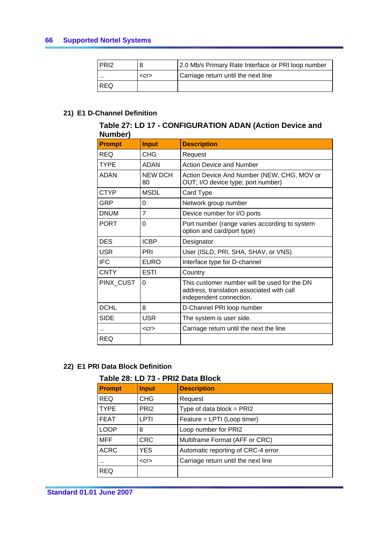| <b>PRI2</b> |            | 2.0 Mb/s Primary Rate Interface or PRI loop number |
|-------------|------------|----------------------------------------------------|
| $\cdots$    | $<$ Cr $>$ | Carriage return until the next line                |
| <b>IREQ</b> |            |                                                    |

## **21) E1 D-Channel Definition**

| Table 27: LD 17 - CONFIGURATION ADAN (Action Device and<br>Number) |         |                    |
|--------------------------------------------------------------------|---------|--------------------|
| <b>Prompt</b>                                                      | l Input | <b>Description</b> |

| <b>Prompt</b> | <b>Input</b>         | <b>Description</b>                                                                                                   |
|---------------|----------------------|----------------------------------------------------------------------------------------------------------------------|
| REQ           | CHG                  | Request                                                                                                              |
| TYPE          | <b>ADAN</b>          | Action Device and Number                                                                                             |
| <b>ADAN</b>   | <b>NEW DCH</b><br>80 | Action Device And Number (NEW, CHG, MOV or<br>OUT; I/O device type; port number)                                     |
| <b>CTYP</b>   | <b>MSDL</b>          | Card Type                                                                                                            |
| GRP           | 0                    | Network group number                                                                                                 |
| <b>DNUM</b>   | 7                    | Device number for I/O ports                                                                                          |
| <b>PORT</b>   | 0                    | Port number (range varies according to system<br>option and card/port type)                                          |
| <b>DES</b>    | <b>ICBP</b>          | Designator                                                                                                           |
| <b>USR</b>    | PRI                  | User (ISLD, PRI, SHA, SHAV, or VNS)                                                                                  |
| <b>IFC</b>    | <b>EURO</b>          | Interface type for D-channel                                                                                         |
| <b>CNTY</b>   | <b>ESTI</b>          | Country                                                                                                              |
| PINX_CUST     | 0                    | This customer number will be used for the DN<br>address, translation associated with call<br>independent connection. |
| <b>DCHL</b>   | 8                    | D-Channel PRI loop number                                                                                            |
| SIDE          | <b>USR</b>           | The system is user side.                                                                                             |
|               | $<$ Cr $>$           | Carriage return until the next the line                                                                              |
| <b>REQ</b>    |                      |                                                                                                                      |

## **22) E1 PRI Data Block Definition**

## **Table 28: LD 73 - PRI2 Data Block**

| .<br>$\blacksquare$ |                  |                                     |
|---------------------|------------------|-------------------------------------|
| <b>Prompt</b>       | <b>Input</b>     | <b>Description</b>                  |
| <b>REQ</b>          | CHG              | Request                             |
| <b>TYPE</b>         | PRI <sub>2</sub> | Type of data block = $PRI2$         |
| <b>FEAT</b>         | LPTI             | Feature = LPTI (Loop timer)         |
| <b>LOOP</b>         | 8                | Loop number for PRI2                |
| MFF                 | <b>CRC</b>       | Multiframe Format (AFF or CRC)      |
| <b>ACRC</b>         | <b>YES</b>       | Automatic reporting of CRC-4 error  |
|                     | $<$ Cr $>$       | Carriage return until the next line |
| <b>REQ</b>          |                  |                                     |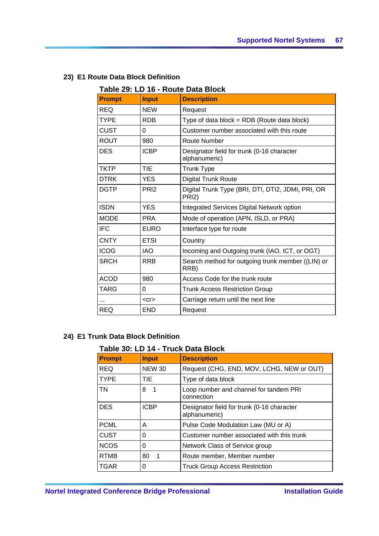| Table 29: LD 16 - Route Data Block |                  |                                                                         |
|------------------------------------|------------------|-------------------------------------------------------------------------|
| <b>Prompt</b>                      | <b>Input</b>     | <b>Description</b>                                                      |
| <b>REQ</b>                         | <b>NEW</b>       | Request                                                                 |
| <b>TYPE</b>                        | <b>RDB</b>       | Type of data block = RDB (Route data block)                             |
| <b>CUST</b>                        | $\Omega$         | Customer number associated with this route                              |
| <b>ROUT</b>                        | 980              | <b>Route Number</b>                                                     |
| <b>DES</b>                         | <b>ICBP</b>      | Designator field for trunk (0-16 character<br>alphanumeric)             |
| <b>TKTP</b>                        | <b>TIE</b>       | <b>Trunk Type</b>                                                       |
| <b>DTRK</b>                        | <b>YES</b>       | <b>Digital Trunk Route</b>                                              |
| <b>DGTP</b>                        | PR <sub>12</sub> | Digital Trunk Type (BRI, DTI, DTI2, JDMI, PRI, OR<br>PRI <sub>2</sub> ) |
| <b>ISDN</b>                        | <b>YES</b>       | Integrated Services Digital Network option                              |
| <b>MODE</b>                        | <b>PRA</b>       | Mode of operation (APN, ISLD, or PRA)                                   |
| <b>IFC</b>                         | <b>EURO</b>      | Interface type for route                                                |
| <b>CNTY</b>                        | <b>ETSI</b>      | Country                                                                 |
| <b>ICOG</b>                        | <b>IAO</b>       | Incoming and Outgoing trunk (IAO, ICT, or OGT)                          |
| <b>SRCH</b>                        | <b>RRB</b>       | Search method for outgoing trunk member ((LIN) or<br>RRB)               |
| <b>ACOD</b>                        | 980              | Access Code for the trunk route                                         |
| <b>TARG</b>                        | 0                | <b>Trunk Access Restriction Group</b>                                   |
| $\cdots$                           | $<$ Cr $>$       | Carriage return until the next line                                     |
| <b>REQ</b>                         | <b>END</b>       | Request                                                                 |

## **23) E1 Route Data Block Definition**

## **24) E1 Trunk Data Block Definition**

## **Table 30: LD 14 - Truck Data Block**

| <b>Prompt</b> | <b>Input</b>                  | <b>Description</b>                                          |
|---------------|-------------------------------|-------------------------------------------------------------|
| <b>REQ</b>    | <b>NEW 30</b>                 | Request (CHG, END, MOV, LCHG, NEW or OUT)                   |
| <b>TYPE</b>   | <b>TIE</b>                    | Type of data block                                          |
| TN            | 8<br>$\overline{\phantom{1}}$ | Loop number and channel for tandem PRI<br>connection        |
| <b>DES</b>    | <b>ICBP</b>                   | Designator field for trunk (0-16 character<br>alphanumeric) |
| <b>PCML</b>   | A                             | Pulse Code Modulation Law (MU or A)                         |
| <b>CUST</b>   | 0                             | Customer number associated with this trunk                  |
| <b>NCOS</b>   | $\Omega$                      | Network Class of Service group                              |
| <b>RTMB</b>   | 80                            | Route member, Member number                                 |
| <b>TGAR</b>   | 0                             | <b>Truck Group Access Restriction</b>                       |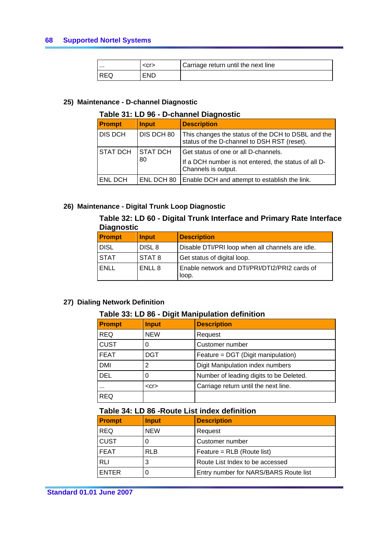| $\cdots$ | <cr></cr> | Carriage return until the next line |
|----------|-----------|-------------------------------------|
| REQ      | END       |                                     |

#### **25) Maintenance - D-channel Diagnostic**

### **Table 31: LD 96 - D-channel Diagnostic**

| <b>Prompt</b>         | <b>Input</b>     | <b>Description</b>                                                                                |
|-----------------------|------------------|---------------------------------------------------------------------------------------------------|
| <b>DIS DCH</b>        | DIS DCH 80       | This changes the status of the DCH to DSBL and the<br>status of the D-channel to DSH RST (reset). |
| <b>STAT DCH</b><br>80 | <b>ISTAT DCH</b> | Get status of one or all D-channels.                                                              |
|                       |                  | If a DCH number is not entered, the status of all D-<br>Channels is output.                       |
| <b>ENL DCH</b>        | ENL DCH 80       | Enable DCH and attempt to establish the link.                                                     |

### **26) Maintenance - Digital Trunk Loop Diagnostic**

### **Table 32: LD 60 - Digital Trunk Interface and Primary Rate Interface Diagnostic**

| <b>Prompt</b> | <b>Input</b>      | <b>Description</b>                                     |  |
|---------------|-------------------|--------------------------------------------------------|--|
| <b>DISL</b>   | DISL <sub>8</sub> | Disable DTI/PRI loop when all channels are idle.       |  |
| <b>STAT</b>   | STAT 8            | Get status of digital loop.                            |  |
| ENLL          | ENLL 8            | Enable network and DTI/PRI/DTI2/PRI2 cards of<br>loop. |  |

### **27) Dialing Network Definition**

## **Table 33: LD 86 - Digit Manipulation definition**

| <b>Prompt</b> | <b>Input</b> | <b>Description</b>                      |
|---------------|--------------|-----------------------------------------|
| <b>REQ</b>    | <b>NEW</b>   | Request                                 |
| <b>CUST</b>   |              | Customer number                         |
| <b>FEAT</b>   | <b>DGT</b>   | Feature = DGT (Digit manipulation)      |
| <b>DMI</b>    | 2            | Digit Manipulation index numbers        |
| <b>DEL</b>    | O            | Number of leading digits to be Deleted. |
| $\cdots$      | $<$ Cr $>$   | Carriage return until the next line.    |
| <b>REQ</b>    |              |                                         |

## **Table 34: LD 86 -Route List index definition**

| <b>Prompt</b> | <b>Input</b> | <b>Description</b>                    |
|---------------|--------------|---------------------------------------|
| <b>REQ</b>    | <b>NEW</b>   | Request                               |
| <b>CUST</b>   |              | Customer number                       |
| <b>FEAT</b>   | <b>RLB</b>   | Feature = RLB (Route list)            |
| RLI           |              | Route List Index to be accessed       |
| <b>ENTER</b>  |              | Entry number for NARS/BARS Route list |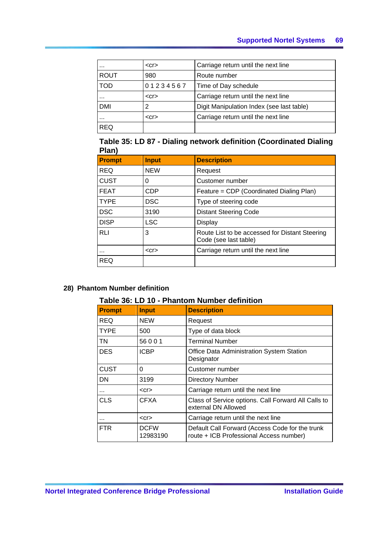| $\cdots$    | $<$ Cr $>$ | Carriage return until the next line       |
|-------------|------------|-------------------------------------------|
| <b>ROUT</b> | 980        | Route number                              |
| <b>TOD</b>  | 01234567   | Time of Day schedule                      |
| $\cdots$    | $<$ Cr $>$ | Carriage return until the next line       |
| <b>DMI</b>  | 2          | Digit Manipulation Index (see last table) |
| $\cdots$    | $<$ Cr $>$ | Carriage return until the next line       |
| <b>REQ</b>  |            |                                           |

## **Table 35: LD 87 - Dialing network definition (Coordinated Dialing Plan)**

| <b>Prompt</b> | <b>Input</b> | <b>Description</b>                                                      |
|---------------|--------------|-------------------------------------------------------------------------|
| <b>REQ</b>    | <b>NEW</b>   | Request                                                                 |
| <b>CUST</b>   | 0            | Customer number                                                         |
| <b>FEAT</b>   | CDP          | Feature = CDP (Coordinated Dialing Plan)                                |
| <b>TYPE</b>   | <b>DSC</b>   | Type of steering code                                                   |
| <b>DSC</b>    | 3190         | <b>Distant Steering Code</b>                                            |
| <b>DISP</b>   | <b>LSC</b>   | Display                                                                 |
| <b>RLI</b>    | 3            | Route List to be accessed for Distant Steering<br>Code (see last table) |
| $\cdots$      | $<$ Cr $>$   | Carriage return until the next line                                     |
| <b>REQ</b>    |              |                                                                         |

### **28) Phantom Number definition**

## **Table 36: LD 10 - Phantom Number definition**

| <b>Prompt</b> | <b>Input</b>            | <b>Description</b>                                                                         |
|---------------|-------------------------|--------------------------------------------------------------------------------------------|
| <b>REQ</b>    | <b>NEW</b>              | Request                                                                                    |
| <b>TYPE</b>   | 500                     | Type of data block                                                                         |
| <b>TN</b>     | 56001                   | <b>Terminal Number</b>                                                                     |
| <b>DES</b>    | <b>ICBP</b>             | Office Data Administration System Station<br>Designator                                    |
| <b>CUST</b>   | 0                       | Customer number                                                                            |
| DN            | 3199                    | <b>Directory Number</b>                                                                    |
| $\cdots$      | $<$ Cr $>$              | Carriage return until the next line                                                        |
| <b>CLS</b>    | <b>CFXA</b>             | Class of Service options. Call Forward All Calls to<br>external DN Allowed                 |
|               | $<$ Cr $>$              | Carriage return until the next line                                                        |
| <b>FTR</b>    | <b>DCFW</b><br>12983190 | Default Call Forward (Access Code for the trunk<br>route + ICB Professional Access number) |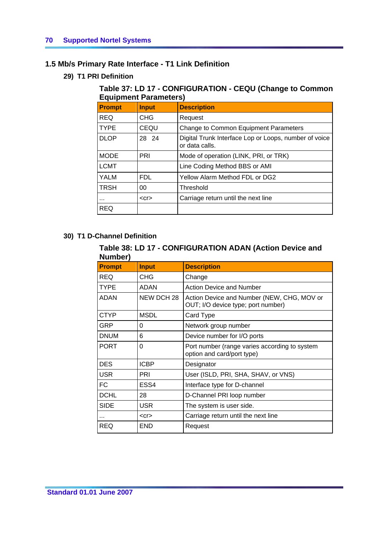## **1.5 Mb/s Primary Rate Interface - T1 Link Definition**

**29) T1 PRI Definition** 

## **Table 37: LD 17 - CONFIGURATION - CEQU (Change to Common Equipment Parameters)**

| $=$ quip $$ o $$ i ura $$ o $:$ o |              |                                                                         |
|-----------------------------------|--------------|-------------------------------------------------------------------------|
| <b>Prompt</b>                     | <b>Input</b> | <b>Description</b>                                                      |
| <b>REQ</b>                        | <b>CHG</b>   | Request                                                                 |
| l TYPE                            | CEQU         | Change to Common Equipment Parameters                                   |
| <b>DLOP</b>                       | 28 24        | Digital Trunk Interface Lop or Loops, number of voice<br>or data calls. |
| <b>MODE</b>                       | PRI          | Mode of operation (LINK, PRI, or TRK)                                   |
| <b>LCMT</b>                       |              | Line Coding Method BBS or AMI                                           |
| <b>YALM</b>                       | <b>FDL</b>   | Yellow Alarm Method FDL or DG2                                          |
| <b>TRSH</b>                       | 00           | Threshold                                                               |
|                                   | $<$ Cr $>$   | Carriage return until the next line                                     |
| <b>REQ</b>                        |              |                                                                         |

## **30) T1 D-Channel Definition**

## **Table 38: LD 17 - CONFIGURATION ADAN (Action Device and Number)**

| ו ושנוומיו    |              |                                                                                  |
|---------------|--------------|----------------------------------------------------------------------------------|
| <b>Prompt</b> | <b>Input</b> | <b>Description</b>                                                               |
| <b>REQ</b>    | <b>CHG</b>   | Change                                                                           |
| <b>TYPE</b>   | <b>ADAN</b>  | <b>Action Device and Number</b>                                                  |
| <b>ADAN</b>   | NEW DCH 28   | Action Device and Number (NEW, CHG, MOV or<br>OUT; I/O device type; port number) |
| <b>CTYP</b>   | <b>MSDL</b>  | Card Type                                                                        |
| GRP           | 0            | Network group number                                                             |
| <b>DNUM</b>   | 6            | Device number for I/O ports                                                      |
| <b>PORT</b>   | 0            | Port number (range varies according to system<br>option and card/port type)      |
| <b>DES</b>    | <b>ICBP</b>  | Designator                                                                       |
| <b>USR</b>    | <b>PRI</b>   | User (ISLD, PRI, SHA, SHAV, or VNS)                                              |
| FC            | ESS4         | Interface type for D-channel                                                     |
| <b>DCHL</b>   | 28           | D-Channel PRI loop number                                                        |
| <b>SIDE</b>   | <b>USR</b>   | The system is user side.                                                         |
| $\cdots$      | $<$ Cr $>$   | Carriage return until the next line                                              |
| REQ           | <b>END</b>   | Request                                                                          |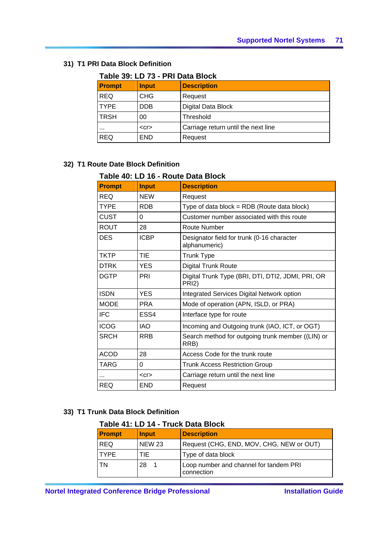## **31) T1 PRI Data Block Definition**

| Table 39: LD 73 - PRI Data Block |              |                                     |
|----------------------------------|--------------|-------------------------------------|
| <b>Prompt</b>                    | <b>Input</b> | <b>Description</b>                  |
| <b>REQ</b>                       | <b>CHG</b>   | Request                             |
| <b>TYPE</b>                      | <b>DDB</b>   | Digital Data Block                  |
| <b>TRSH</b>                      | 00           | Threshold                           |
| $\cdots$                         | $<$ Cr $>$   | Carriage return until the next line |
| <b>REQ</b>                       | <b>END</b>   | Request                             |

## **Table 39: LD 73 - PRI Data Block**

## **32) T1 Route Date Block Definition**

## **Table 40: LD 16 - Route Data Block**

| <b>Prompt</b> | <b>Input</b> | <b>Description</b>                                                |
|---------------|--------------|-------------------------------------------------------------------|
| <b>REQ</b>    | <b>NEW</b>   | Request                                                           |
| <b>TYPE</b>   | <b>RDB</b>   | Type of data block = $RDB$ (Route data block)                     |
| <b>CUST</b>   | 0            | Customer number associated with this route                        |
| <b>ROUT</b>   | 28           | Route Number                                                      |
| <b>DES</b>    | <b>ICBP</b>  | Designator field for trunk (0-16 character<br>alphanumeric)       |
| <b>TKTP</b>   | TIE          | <b>Trunk Type</b>                                                 |
| <b>DTRK</b>   | YES          | <b>Digital Trunk Route</b>                                        |
| <b>DGTP</b>   | PRI          | Digital Trunk Type (BRI, DTI, DTI2, JDMI, PRI, OR<br><b>PRI2)</b> |
| <b>ISDN</b>   | <b>YES</b>   | Integrated Services Digital Network option                        |
| <b>MODE</b>   | <b>PRA</b>   | Mode of operation (APN, ISLD, or PRA)                             |
| <b>IFC</b>    | ESS4         | Interface type for route                                          |
| <b>ICOG</b>   | <b>IAO</b>   | Incoming and Outgoing trunk (IAO, ICT, or OGT)                    |
| <b>SRCH</b>   | <b>RRB</b>   | Search method for outgoing trunk member ((LIN) or<br>RRB)         |
| <b>ACOD</b>   | 28           | Access Code for the trunk route                                   |
| <b>TARG</b>   | 0            | <b>Trunk Access Restriction Group</b>                             |
|               | $<$ Cr $>$   | Carriage return until the next line                               |
| <b>REQ</b>    | END          | Request                                                           |

## **33) T1 Trunk Data Block Definition**

## **Table 41: LD 14 - Truck Data Block**

| <b>Prompt</b> | <b>Input</b>  | <b>Description</b>                                   |
|---------------|---------------|------------------------------------------------------|
| <b>REQ</b>    | <b>NEW 23</b> | Request (CHG, END, MOV, CHG, NEW or OUT)             |
| <b>TYPF</b>   | TIE           | Type of data block                                   |
| TN            | 28            | Loop number and channel for tandem PRI<br>connection |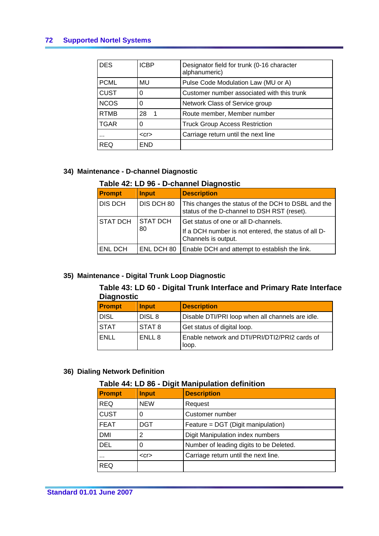| <b>DES</b>  | <b>ICBP</b> | Designator field for trunk (0-16 character<br>alphanumeric) |
|-------------|-------------|-------------------------------------------------------------|
| <b>PCML</b> | MU          | Pulse Code Modulation Law (MU or A)                         |
| <b>CUST</b> | 0           | Customer number associated with this trunk                  |
| <b>NCOS</b> | 0           | Network Class of Service group                              |
| <b>RTMB</b> | 28<br>-1    | Route member, Member number                                 |
| <b>TGAR</b> | 0           | <b>Truck Group Access Restriction</b>                       |
| $\cdots$    | $<$ Cr $>$  | Carriage return until the next line                         |
| REQ         | END         |                                                             |

### **34) Maintenance - D-channel Diagnostic**

#### **Table 42: LD 96 - D-channel Diagnostic**

| <b>Prompt</b>   | <b>Input</b>          | <b>Description</b>                                                                                                  |
|-----------------|-----------------------|---------------------------------------------------------------------------------------------------------------------|
| <b>DIS DCH</b>  | DIS DCH 80            | This changes the status of the DCH to DSBL and the<br>status of the D-channel to DSH RST (reset).                   |
| <b>STAT DCH</b> | <b>STAT DCH</b><br>80 | Get status of one or all D-channels.<br>If a DCH number is not entered, the status of all D-<br>Channels is output. |
| <b>ENL DCH</b>  | ENL DCH 80            | Enable DCH and attempt to establish the link.                                                                       |

## **35) Maintenance - Digital Trunk Loop Diagnostic**

## **Table 43: LD 60 - Digital Trunk Interface and Primary Rate Interface Diagnostic**

| <b>Prompt</b> | <b>Input</b>      | <b>Description</b>                                     |
|---------------|-------------------|--------------------------------------------------------|
| <b>DISL</b>   | DISL <sub>8</sub> | Disable DTI/PRI loop when all channels are idle.       |
| <b>STAT</b>   | I STAT 8          | Get status of digital loop.                            |
| ENLL          | ENLL 8            | Enable network and DTI/PRI/DTI2/PRI2 cards of<br>loop. |

## **36) Dialing Network Definition**

### **Table 44: LD 86 - Digit Manipulation definition**

| Prompt      | <b>Input</b> | <b>Description</b>                      |
|-------------|--------------|-----------------------------------------|
| <b>REQ</b>  | <b>NEW</b>   | Request                                 |
| <b>CUST</b> |              | Customer number                         |
| <b>FEAT</b> | <b>DGT</b>   | Feature = DGT (Digit manipulation)      |
| <b>DMI</b>  |              | Digit Manipulation index numbers        |
| <b>DEL</b>  |              | Number of leading digits to be Deleted. |
| $\cdots$    | $<$ Cr $>$   | Carriage return until the next line.    |
| <b>REQ</b>  |              |                                         |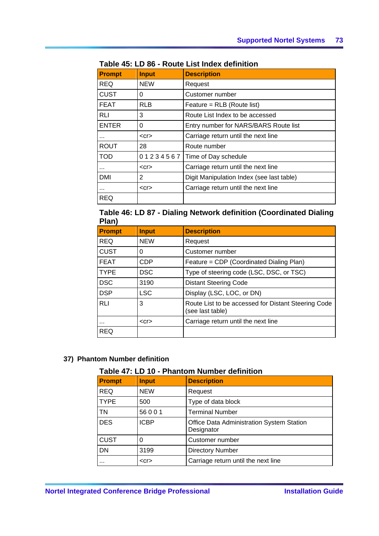| <b>Prompt</b> | <b>Input</b> | <b>Description</b>                        |  |
|---------------|--------------|-------------------------------------------|--|
| REQ           | <b>NEW</b>   | Request                                   |  |
| CUST          | 0            | Customer number                           |  |
| FEAT          | <b>RLB</b>   | Feature = RLB (Route list)                |  |
| RLI           | 3            | Route List Index to be accessed           |  |
| ENTER         | 0            | Entry number for NARS/BARS Route list     |  |
|               | $<$ Cr $>$   | Carriage return until the next line       |  |
| ROUT          | 28           | Route number                              |  |
| <b>TOD</b>    |              | 0 1 2 3 4 5 6 7 Time of Day schedule      |  |
|               | $<$ Cr $>$   | Carriage return until the next line       |  |
| DMI           | 2            | Digit Manipulation Index (see last table) |  |
|               | $<$ Cr $>$   | Carriage return until the next line       |  |
| REQ           |              |                                           |  |

## **Table 45: LD 86 - Route List Index definition**

**Table 46: LD 87 - Dialing Network definition (Coordinated Dialing Plan)** 

| . .u,         |              |                                                                         |
|---------------|--------------|-------------------------------------------------------------------------|
| <b>Prompt</b> | <b>Input</b> | <b>Description</b>                                                      |
| <b>REQ</b>    | <b>NEW</b>   | Request                                                                 |
| <b>CUST</b>   | 0            | Customer number                                                         |
| <b>FEAT</b>   | <b>CDP</b>   | Feature = CDP (Coordinated Dialing Plan)                                |
| <b>TYPE</b>   | <b>DSC</b>   | Type of steering code (LSC, DSC, or TSC)                                |
| <b>DSC</b>    | 3190         | <b>Distant Steering Code</b>                                            |
| <b>DSP</b>    | <b>LSC</b>   | Display (LSC, LOC, or DN)                                               |
| <b>RLI</b>    | 3            | Route List to be accessed for Distant Steering Code<br>(see last table) |
|               | $<$ cr $>$   | Carriage return until the next line                                     |
| <b>REQ</b>    |              |                                                                         |

## **37) Phantom Number definition**

## **Table 47: LD 10 - Phantom Number definition**

| <b>Prompt</b> | <b>Input</b> | <b>Description</b>                                      |  |
|---------------|--------------|---------------------------------------------------------|--|
| <b>REQ</b>    | <b>NEW</b>   | Request                                                 |  |
| <b>TYPE</b>   | 500          | Type of data block                                      |  |
| TN            | 56001        | <b>Terminal Number</b>                                  |  |
| <b>DES</b>    | <b>ICBP</b>  | Office Data Administration System Station<br>Designator |  |
| <b>CUST</b>   | 0            | Customer number                                         |  |
| <b>DN</b>     | 3199         | <b>Directory Number</b>                                 |  |
|               | $<$ cr $>$   | Carriage return until the next line                     |  |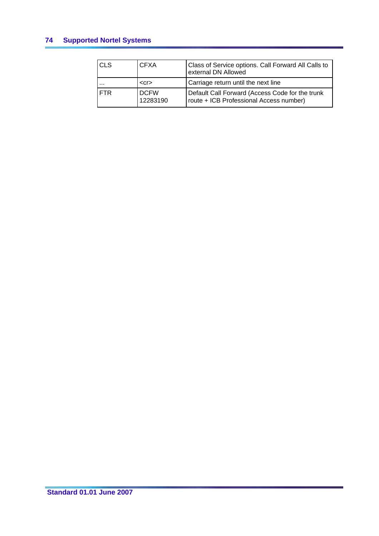| <b>CLS</b> | <b>CFXA</b>             | Class of Service options. Call Forward All Calls to<br>external DN Allowed                 |
|------------|-------------------------|--------------------------------------------------------------------------------------------|
|            | $<$ Cr $>$              | Carriage return until the next line                                                        |
| <b>FTR</b> | <b>DCFW</b><br>12283190 | Default Call Forward (Access Code for the trunk<br>route + ICB Professional Access number) |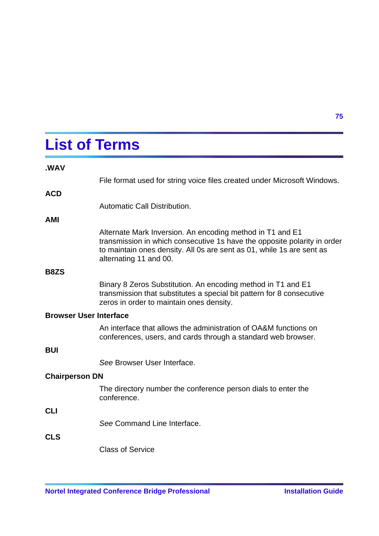# **List of Terms**

|                               | File format used for string voice files created under Microsoft Windows.                                                                                                                                                                 |  |
|-------------------------------|------------------------------------------------------------------------------------------------------------------------------------------------------------------------------------------------------------------------------------------|--|
| <b>ACD</b>                    |                                                                                                                                                                                                                                          |  |
|                               | Automatic Call Distribution.                                                                                                                                                                                                             |  |
| AMI                           |                                                                                                                                                                                                                                          |  |
|                               | Alternate Mark Inversion. An encoding method in T1 and E1<br>transmission in which consecutive 1s have the opposite polarity in order<br>to maintain ones density. All 0s are sent as 01, while 1s are sent as<br>alternating 11 and 00. |  |
| <b>B8ZS</b>                   |                                                                                                                                                                                                                                          |  |
|                               | Binary 8 Zeros Substitution. An encoding method in T1 and E1<br>transmission that substitutes a special bit pattern for 8 consecutive<br>zeros in order to maintain ones density.                                                        |  |
| <b>Browser User Interface</b> |                                                                                                                                                                                                                                          |  |
|                               | An interface that allows the administration of OA&M functions on<br>conferences, users, and cards through a standard web browser.                                                                                                        |  |
| <b>BUI</b>                    |                                                                                                                                                                                                                                          |  |
|                               | See Browser User Interface.                                                                                                                                                                                                              |  |
| <b>Chairperson DN</b>         |                                                                                                                                                                                                                                          |  |
|                               | The directory number the conference person dials to enter the<br>conference.                                                                                                                                                             |  |
| <b>CLI</b>                    |                                                                                                                                                                                                                                          |  |
|                               | See Command Line Interface.                                                                                                                                                                                                              |  |
| <b>CLS</b>                    |                                                                                                                                                                                                                                          |  |
|                               | <b>Class of Service</b>                                                                                                                                                                                                                  |  |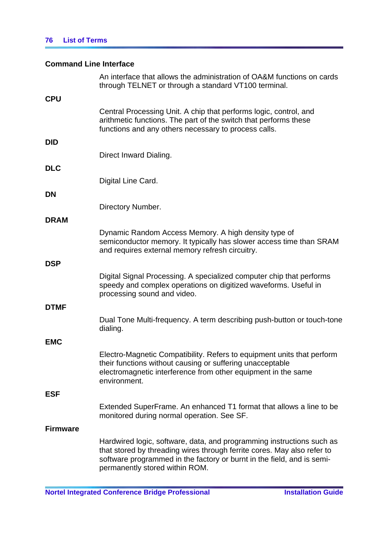## **Command Line Interface**

|                 | An interface that allows the administration of OA&M functions on cards<br>through TELNET or through a standard VT100 terminal.                                                                                                                               |
|-----------------|--------------------------------------------------------------------------------------------------------------------------------------------------------------------------------------------------------------------------------------------------------------|
| <b>CPU</b>      |                                                                                                                                                                                                                                                              |
|                 | Central Processing Unit. A chip that performs logic, control, and<br>arithmetic functions. The part of the switch that performs these<br>functions and any others necessary to process calls.                                                                |
| DID             |                                                                                                                                                                                                                                                              |
|                 | Direct Inward Dialing.                                                                                                                                                                                                                                       |
| <b>DLC</b>      |                                                                                                                                                                                                                                                              |
|                 | Digital Line Card.                                                                                                                                                                                                                                           |
| DN              |                                                                                                                                                                                                                                                              |
|                 | Directory Number.                                                                                                                                                                                                                                            |
| <b>DRAM</b>     |                                                                                                                                                                                                                                                              |
|                 | Dynamic Random Access Memory. A high density type of<br>semiconductor memory. It typically has slower access time than SRAM<br>and requires external memory refresh circuitry.                                                                               |
| <b>DSP</b>      |                                                                                                                                                                                                                                                              |
|                 | Digital Signal Processing. A specialized computer chip that performs<br>speedy and complex operations on digitized waveforms. Useful in<br>processing sound and video.                                                                                       |
| <b>DTMF</b>     |                                                                                                                                                                                                                                                              |
|                 | Dual Tone Multi-frequency. A term describing push-button or touch-tone<br>dialing.                                                                                                                                                                           |
| <b>EMC</b>      |                                                                                                                                                                                                                                                              |
|                 | Electro-Magnetic Compatibility. Refers to equipment units that perform<br>their functions without causing or suffering unacceptable<br>electromagnetic interference from other equipment in the same<br>environment.                                         |
| ESF             |                                                                                                                                                                                                                                                              |
|                 | Extended SuperFrame. An enhanced T1 format that allows a line to be<br>monitored during normal operation. See SF.                                                                                                                                            |
| <b>Firmware</b> |                                                                                                                                                                                                                                                              |
|                 | Hardwired logic, software, data, and programming instructions such as<br>that stored by threading wires through ferrite cores. May also refer to<br>software programmed in the factory or burnt in the field, and is semi-<br>permanently stored within ROM. |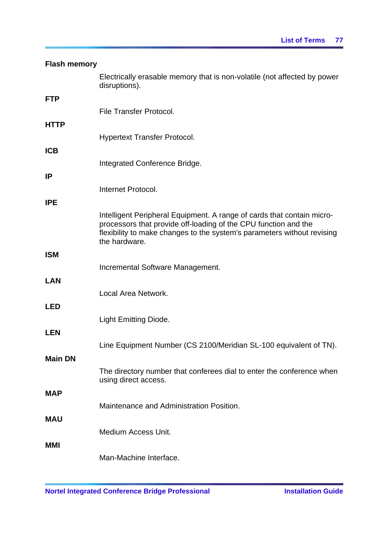| <b>Flash memory</b> |                                                                                                                                                                                                                                       |
|---------------------|---------------------------------------------------------------------------------------------------------------------------------------------------------------------------------------------------------------------------------------|
|                     | Electrically erasable memory that is non-volatile (not affected by power<br>disruptions).                                                                                                                                             |
| <b>FTP</b>          |                                                                                                                                                                                                                                       |
|                     | <b>File Transfer Protocol.</b>                                                                                                                                                                                                        |
| <b>HTTP</b>         |                                                                                                                                                                                                                                       |
|                     | <b>Hypertext Transfer Protocol.</b>                                                                                                                                                                                                   |
| <b>ICB</b>          | Integrated Conference Bridge.                                                                                                                                                                                                         |
| <b>IP</b>           |                                                                                                                                                                                                                                       |
|                     | Internet Protocol.                                                                                                                                                                                                                    |
| <b>IPE</b>          |                                                                                                                                                                                                                                       |
|                     | Intelligent Peripheral Equipment. A range of cards that contain micro-<br>processors that provide off-loading of the CPU function and the<br>flexibility to make changes to the system's parameters without revising<br>the hardware. |
| <b>ISM</b>          |                                                                                                                                                                                                                                       |
|                     | Incremental Software Management.                                                                                                                                                                                                      |
| <b>LAN</b>          |                                                                                                                                                                                                                                       |
|                     | Local Area Network.                                                                                                                                                                                                                   |
| <b>LED</b>          |                                                                                                                                                                                                                                       |
|                     | <b>Light Emitting Diode.</b>                                                                                                                                                                                                          |
| <b>LEN</b>          |                                                                                                                                                                                                                                       |
|                     | Line Equipment Number (CS 2100/Meridian SL-100 equivalent of TN).                                                                                                                                                                     |
| <b>Main DN</b>      |                                                                                                                                                                                                                                       |
|                     | The directory number that conferees dial to enter the conference when<br>using direct access.                                                                                                                                         |
| <b>MAP</b>          |                                                                                                                                                                                                                                       |
|                     | Maintenance and Administration Position.                                                                                                                                                                                              |
| <b>MAU</b>          |                                                                                                                                                                                                                                       |
|                     | <b>Medium Access Unit.</b>                                                                                                                                                                                                            |
| <b>MMI</b>          |                                                                                                                                                                                                                                       |
|                     | Man-Machine Interface.                                                                                                                                                                                                                |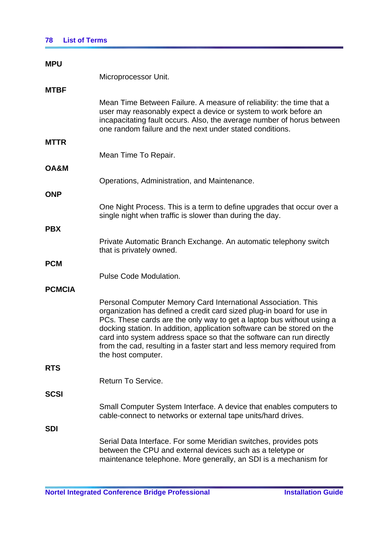## **78 List of Terms**

| <b>MPU</b>      |                                                                                                                                                                                                                                                                                                                                                                                                                                                                     |
|-----------------|---------------------------------------------------------------------------------------------------------------------------------------------------------------------------------------------------------------------------------------------------------------------------------------------------------------------------------------------------------------------------------------------------------------------------------------------------------------------|
|                 | Microprocessor Unit.                                                                                                                                                                                                                                                                                                                                                                                                                                                |
| <b>MTBF</b>     |                                                                                                                                                                                                                                                                                                                                                                                                                                                                     |
|                 | Mean Time Between Failure. A measure of reliability: the time that a<br>user may reasonably expect a device or system to work before an<br>incapacitating fault occurs. Also, the average number of horus between<br>one random failure and the next under stated conditions.                                                                                                                                                                                       |
| <b>MTTR</b>     |                                                                                                                                                                                                                                                                                                                                                                                                                                                                     |
|                 | Mean Time To Repair.                                                                                                                                                                                                                                                                                                                                                                                                                                                |
| <b>OA&amp;M</b> |                                                                                                                                                                                                                                                                                                                                                                                                                                                                     |
|                 | Operations, Administration, and Maintenance.                                                                                                                                                                                                                                                                                                                                                                                                                        |
| <b>ONP</b>      |                                                                                                                                                                                                                                                                                                                                                                                                                                                                     |
|                 | One Night Process. This is a term to define upgrades that occur over a<br>single night when traffic is slower than during the day.                                                                                                                                                                                                                                                                                                                                  |
| <b>PBX</b>      |                                                                                                                                                                                                                                                                                                                                                                                                                                                                     |
|                 | Private Automatic Branch Exchange. An automatic telephony switch<br>that is privately owned.                                                                                                                                                                                                                                                                                                                                                                        |
| <b>PCM</b>      |                                                                                                                                                                                                                                                                                                                                                                                                                                                                     |
|                 | <b>Pulse Code Modulation.</b>                                                                                                                                                                                                                                                                                                                                                                                                                                       |
| <b>PCMCIA</b>   |                                                                                                                                                                                                                                                                                                                                                                                                                                                                     |
|                 | Personal Computer Memory Card International Association. This<br>organization has defined a credit card sized plug-in board for use in<br>PCs. These cards are the only way to get a laptop bus without using a<br>docking station. In addition, application software can be stored on the<br>card into system address space so that the software can run directly<br>from the cad, resulting in a faster start and less memory required from<br>the host computer. |
| RTS             |                                                                                                                                                                                                                                                                                                                                                                                                                                                                     |
|                 | Return To Service.                                                                                                                                                                                                                                                                                                                                                                                                                                                  |
| SCSI            |                                                                                                                                                                                                                                                                                                                                                                                                                                                                     |
|                 | Small Computer System Interface. A device that enables computers to<br>cable-connect to networks or external tape units/hard drives.                                                                                                                                                                                                                                                                                                                                |
| SDI             |                                                                                                                                                                                                                                                                                                                                                                                                                                                                     |
|                 | Serial Data Interface. For some Meridian switches, provides pots<br>between the CPU and external devices such as a teletype or<br>maintenance telephone. More generally, an SDI is a mechanism for                                                                                                                                                                                                                                                                  |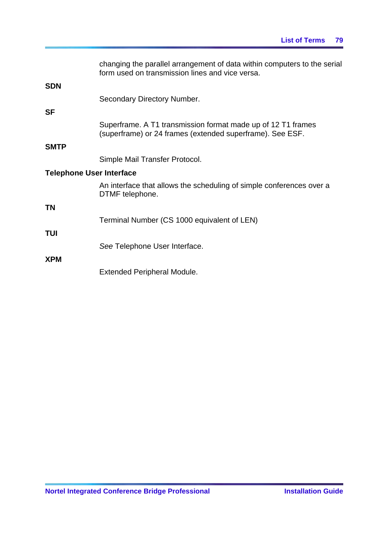|                                 | changing the parallel arrangement of data within computers to the serial<br>form used on transmission lines and vice versa. |
|---------------------------------|-----------------------------------------------------------------------------------------------------------------------------|
| <b>SDN</b>                      | Secondary Directory Number.                                                                                                 |
| <b>SF</b>                       |                                                                                                                             |
|                                 | Superframe. A T1 transmission format made up of 12 T1 frames<br>(superframe) or 24 frames (extended superframe). See ESF.   |
| <b>SMTP</b>                     |                                                                                                                             |
|                                 | Simple Mail Transfer Protocol.                                                                                              |
| <b>Telephone User Interface</b> |                                                                                                                             |
|                                 | An interface that allows the scheduling of simple conferences over a<br>DTMF telephone.                                     |
| <b>TN</b>                       |                                                                                                                             |
|                                 | Terminal Number (CS 1000 equivalent of LEN)                                                                                 |
| <b>TUI</b>                      |                                                                                                                             |
|                                 | See Telephone User Interface.                                                                                               |
| <b>XPM</b>                      |                                                                                                                             |
|                                 | <b>Extended Peripheral Module.</b>                                                                                          |